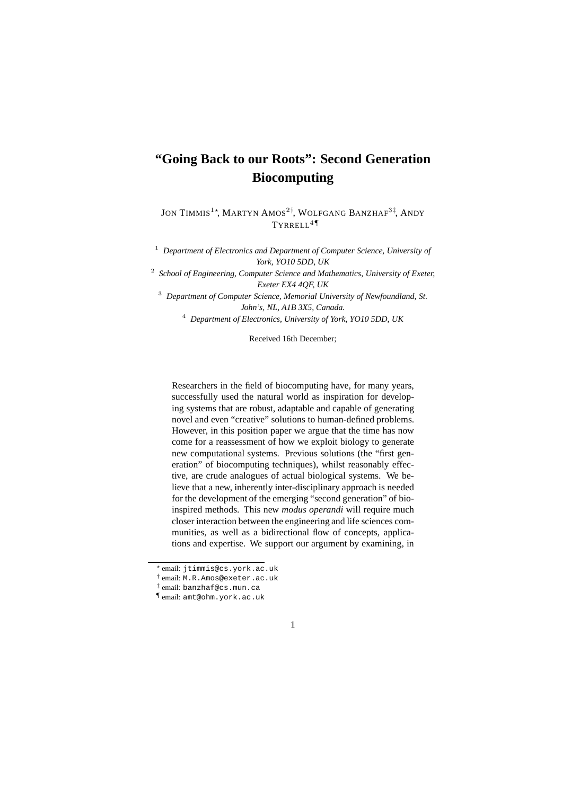# **"Going Back to our Roots": Second Generation Biocomputing**

Jon Timmis $^{1\star}$ , Martyn Amos $^{2\dagger}$ , Wolfgang Banzhaf $^{3\dagger}$ , Andy TYRRELL4¶

<sup>1</sup> *Department of Electronics and Department of Computer Science, University of York, YO10 5DD, UK*

2 *School of Engineering, Computer Science and Mathematics, University of Exeter, Exeter EX4 4QF, UK*

<sup>3</sup> *Department of Computer Science, Memorial University of Newfoundland, St. John's, NL, A1B 3X5, Canada.* <sup>4</sup> *Department of Electronics, University of York, YO10 5DD, UK*

Received 16th December;

Researchers in the field of biocomputing have, for many years, successfully used the natural world as inspiration for developing systems that are robust, adaptable and capable of generating novel and even "creative" solutions to human-defined problems. However, in this position paper we argue that the time has now come for a reassessment of how we exploit biology to generate new computational systems. Previous solutions (the "first generation" of biocomputing techniques), whilst reasonably effective, are crude analogues of actual biological systems. We believe that a new, inherently inter-disciplinary approach is needed for the development of the emerging "second generation" of bioinspired methods. This new *modus operandi* will require much closer interaction between the engineering and life sciences communities, as well as a bidirectional flow of concepts, applications and expertise. We support our argument by examining, in

<sup>¶</sup> email: amt@ohm.york.ac.uk



<sup>?</sup> email: jtimmis@cs.york.ac.uk

<sup>†</sup> email: M.R.Amos@exeter.ac.uk

<sup>‡</sup> email: banzhaf@cs.mun.ca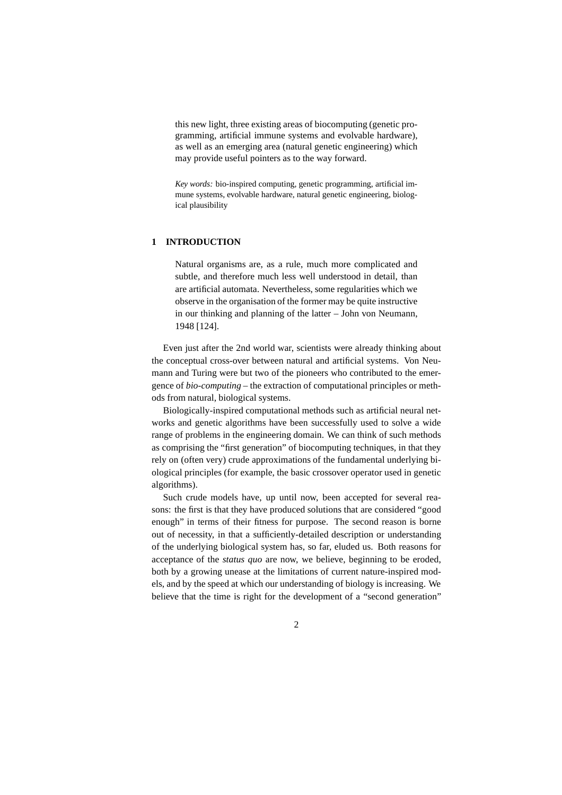this new light, three existing areas of biocomputing (genetic programming, artificial immune systems and evolvable hardware), as well as an emerging area (natural genetic engineering) which may provide useful pointers as to the way forward.

*Key words:* bio-inspired computing, genetic programming, artificial immune systems, evolvable hardware, natural genetic engineering, biological plausibility

# **1 INTRODUCTION**

Natural organisms are, as a rule, much more complicated and subtle, and therefore much less well understood in detail, than are artificial automata. Nevertheless, some regularities which we observe in the organisation of the former may be quite instructive in our thinking and planning of the latter – John von Neumann, 1948 [124].

Even just after the 2nd world war, scientists were already thinking about the conceptual cross-over between natural and artificial systems. Von Neumann and Turing were but two of the pioneers who contributed to the emergence of *bio-computing* – the extraction of computational principles or methods from natural, biological systems.

Biologically-inspired computational methods such as artificial neural networks and genetic algorithms have been successfully used to solve a wide range of problems in the engineering domain. We can think of such methods as comprising the "first generation" of biocomputing techniques, in that they rely on (often very) crude approximations of the fundamental underlying biological principles (for example, the basic crossover operator used in genetic algorithms).

Such crude models have, up until now, been accepted for several reasons: the first is that they have produced solutions that are considered "good enough" in terms of their fitness for purpose. The second reason is borne out of necessity, in that a sufficiently-detailed description or understanding of the underlying biological system has, so far, eluded us. Both reasons for acceptance of the *status quo* are now, we believe, beginning to be eroded, both by a growing unease at the limitations of current nature-inspired models, and by the speed at which our understanding of biology is increasing. We believe that the time is right for the development of a "second generation"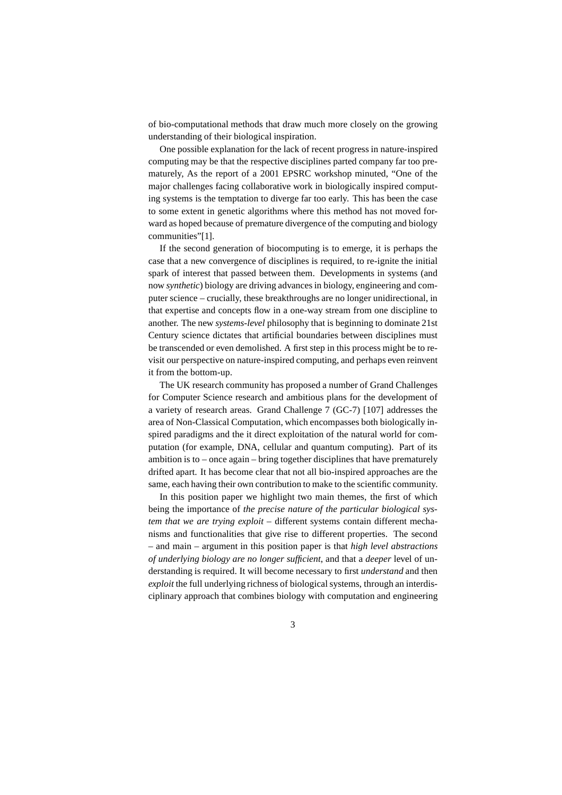of bio-computational methods that draw much more closely on the growing understanding of their biological inspiration.

One possible explanation for the lack of recent progress in nature-inspired computing may be that the respective disciplines parted company far too prematurely, As the report of a 2001 EPSRC workshop minuted, "One of the major challenges facing collaborative work in biologically inspired computing systems is the temptation to diverge far too early. This has been the case to some extent in genetic algorithms where this method has not moved forward as hoped because of premature divergence of the computing and biology communities"[1].

If the second generation of biocomputing is to emerge, it is perhaps the case that a new convergence of disciplines is required, to re-ignite the initial spark of interest that passed between them. Developments in systems (and now *synthetic*) biology are driving advances in biology, engineering and computer science – crucially, these breakthroughs are no longer unidirectional, in that expertise and concepts flow in a one-way stream from one discipline to another. The new *systems-level* philosophy that is beginning to dominate 21st Century science dictates that artificial boundaries between disciplines must be transcended or even demolished. A first step in this process might be to revisit our perspective on nature-inspired computing, and perhaps even reinvent it from the bottom-up.

The UK research community has proposed a number of Grand Challenges for Computer Science research and ambitious plans for the development of a variety of research areas. Grand Challenge 7 (GC-7) [107] addresses the area of Non-Classical Computation, which encompasses both biologically inspired paradigms and the it direct exploitation of the natural world for computation (for example, DNA, cellular and quantum computing). Part of its ambition is to – once again – bring together disciplines that have prematurely drifted apart. It has become clear that not all bio-inspired approaches are the same, each having their own contribution to make to the scientific community.

In this position paper we highlight two main themes, the first of which being the importance of *the precise nature of the particular biological system that we are trying exploit* – different systems contain different mechanisms and functionalities that give rise to different properties. The second – and main – argument in this position paper is that *high level abstractions of underlying biology are no longer sufficient*, and that a *deeper* level of understanding is required. It will become necessary to first *understand* and then *exploit* the full underlying richness of biological systems, through an interdisciplinary approach that combines biology with computation and engineering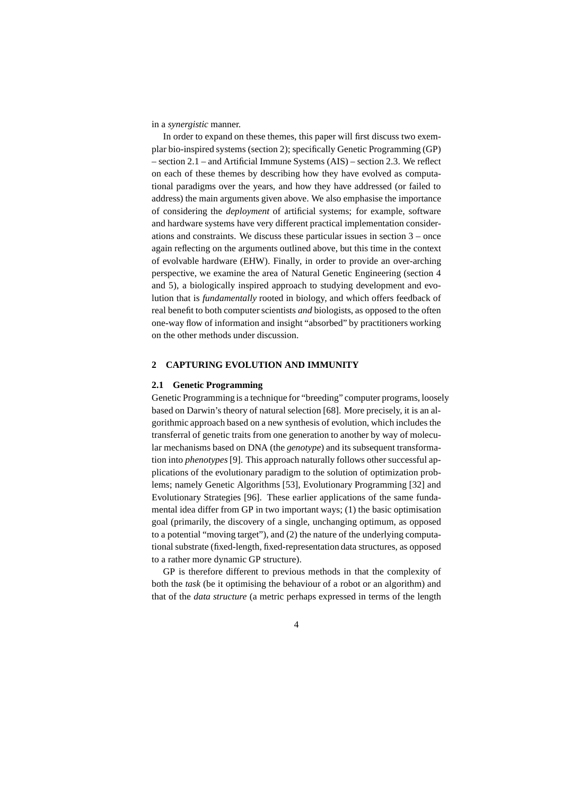in a *synergistic* manner.

In order to expand on these themes, this paper will first discuss two exemplar bio-inspired systems (section 2); specifically Genetic Programming (GP) – section 2.1 – and Artificial Immune Systems (AIS) – section 2.3. We reflect on each of these themes by describing how they have evolved as computational paradigms over the years, and how they have addressed (or failed to address) the main arguments given above. We also emphasise the importance of considering the *deployment* of artificial systems; for example, software and hardware systems have very different practical implementation considerations and constraints. We discuss these particular issues in section 3 – once again reflecting on the arguments outlined above, but this time in the context of evolvable hardware (EHW). Finally, in order to provide an over-arching perspective, we examine the area of Natural Genetic Engineering (section 4 and 5), a biologically inspired approach to studying development and evolution that is *fundamentally* rooted in biology, and which offers feedback of real benefit to both computer scientists *and* biologists, as opposed to the often one-way flow of information and insight "absorbed" by practitioners working on the other methods under discussion.

## **2 CAPTURING EVOLUTION AND IMMUNITY**

## **2.1 Genetic Programming**

Genetic Programming is a technique for "breeding" computer programs, loosely based on Darwin's theory of natural selection [68]. More precisely, it is an algorithmic approach based on a new synthesis of evolution, which includes the transferral of genetic traits from one generation to another by way of molecular mechanisms based on DNA (the *genotype*) and its subsequent transformation into *phenotypes*[9]. This approach naturally follows other successful applications of the evolutionary paradigm to the solution of optimization problems; namely Genetic Algorithms [53], Evolutionary Programming [32] and Evolutionary Strategies [96]. These earlier applications of the same fundamental idea differ from GP in two important ways; (1) the basic optimisation goal (primarily, the discovery of a single, unchanging optimum, as opposed to a potential "moving target"), and (2) the nature of the underlying computational substrate (fixed-length, fixed-representation data structures, as opposed to a rather more dynamic GP structure).

GP is therefore different to previous methods in that the complexity of both the *task* (be it optimising the behaviour of a robot or an algorithm) and that of the *data structure* (a metric perhaps expressed in terms of the length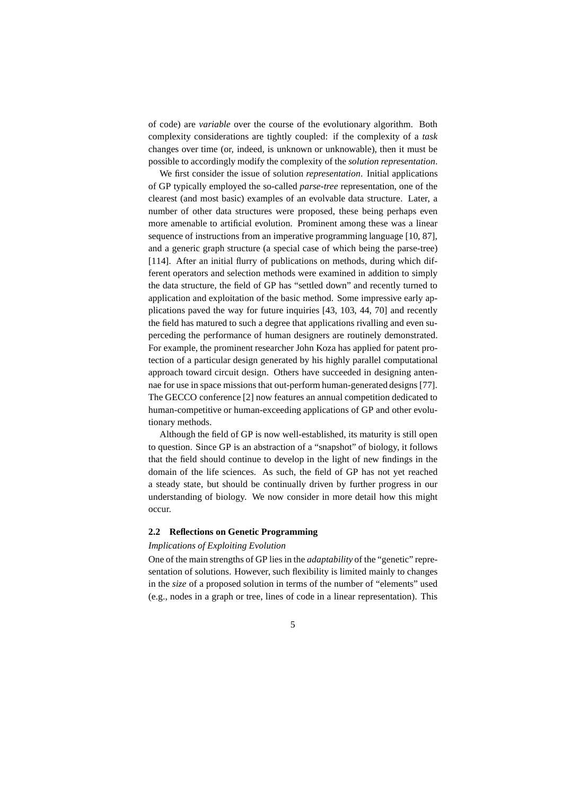of code) are *variable* over the course of the evolutionary algorithm. Both complexity considerations are tightly coupled: if the complexity of a *task* changes over time (or, indeed, is unknown or unknowable), then it must be possible to accordingly modify the complexity of the *solution representation*.

We first consider the issue of solution *representation*. Initial applications of GP typically employed the so-called *parse-tree* representation, one of the clearest (and most basic) examples of an evolvable data structure. Later, a number of other data structures were proposed, these being perhaps even more amenable to artificial evolution. Prominent among these was a linear sequence of instructions from an imperative programming language [10, 87], and a generic graph structure (a special case of which being the parse-tree) [114]. After an initial flurry of publications on methods, during which different operators and selection methods were examined in addition to simply the data structure, the field of GP has "settled down" and recently turned to application and exploitation of the basic method. Some impressive early applications paved the way for future inquiries [43, 103, 44, 70] and recently the field has matured to such a degree that applications rivalling and even superceding the performance of human designers are routinely demonstrated. For example, the prominent researcher John Koza has applied for patent protection of a particular design generated by his highly parallel computational approach toward circuit design. Others have succeeded in designing antennae for use in space missions that out-perform human-generated designs [77]. The GECCO conference [2] now features an annual competition dedicated to human-competitive or human-exceeding applications of GP and other evolutionary methods.

Although the field of GP is now well-established, its maturity is still open to question. Since GP is an abstraction of a "snapshot" of biology, it follows that the field should continue to develop in the light of new findings in the domain of the life sciences. As such, the field of GP has not yet reached a steady state, but should be continually driven by further progress in our understanding of biology. We now consider in more detail how this might occur.

# **2.2 Reflections on Genetic Programming**

#### *Implications of Exploiting Evolution*

One of the main strengths of GP lies in the *adaptability* of the "genetic" representation of solutions. However, such flexibility is limited mainly to changes in the *size* of a proposed solution in terms of the number of "elements" used (e.g., nodes in a graph or tree, lines of code in a linear representation). This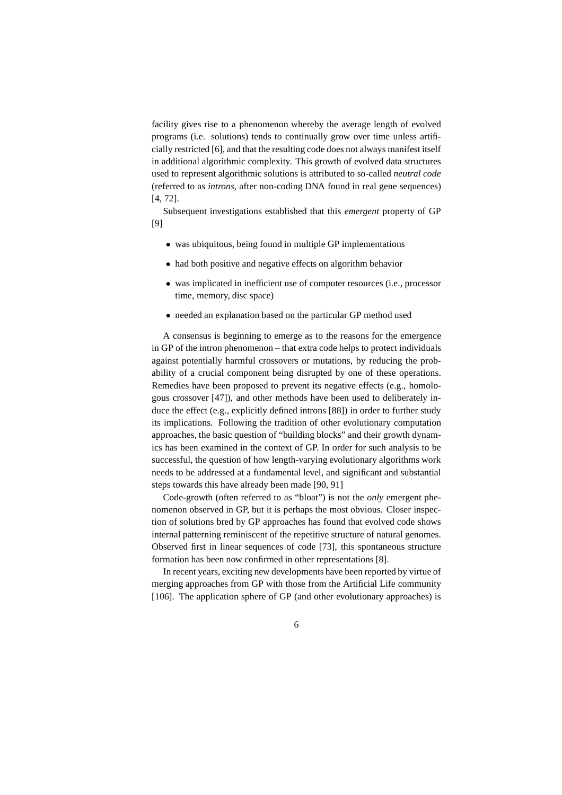facility gives rise to a phenomenon whereby the average length of evolved programs (i.e. solutions) tends to continually grow over time unless artificially restricted [6], and that the resulting code does not always manifest itself in additional algorithmic complexity. This growth of evolved data structures used to represent algorithmic solutions is attributed to so-called *neutral code* (referred to as *introns*, after non-coding DNA found in real gene sequences) [4, 72].

Subsequent investigations established that this *emergent* property of GP [9]

- was ubiquitous, being found in multiple GP implementations
- had both positive and negative effects on algorithm behavior
- was implicated in inefficient use of computer resources (i.e., processor time, memory, disc space)
- needed an explanation based on the particular GP method used

A consensus is beginning to emerge as to the reasons for the emergence in GP of the intron phenomenon – that extra code helps to protect individuals against potentially harmful crossovers or mutations, by reducing the probability of a crucial component being disrupted by one of these operations. Remedies have been proposed to prevent its negative effects (e.g., homologous crossover [47]), and other methods have been used to deliberately induce the effect (e.g., explicitly defined introns [88]) in order to further study its implications. Following the tradition of other evolutionary computation approaches, the basic question of "building blocks" and their growth dynamics has been examined in the context of GP. In order for such analysis to be successful, the question of how length-varying evolutionary algorithms work needs to be addressed at a fundamental level, and significant and substantial steps towards this have already been made [90, 91]

Code-growth (often referred to as "bloat") is not the *only* emergent phenomenon observed in GP, but it is perhaps the most obvious. Closer inspection of solutions bred by GP approaches has found that evolved code shows internal patterning reminiscent of the repetitive structure of natural genomes. Observed first in linear sequences of code [73], this spontaneous structure formation has been now confirmed in other representations [8].

In recent years, exciting new developments have been reported by virtue of merging approaches from GP with those from the Artificial Life community [106]. The application sphere of GP (and other evolutionary approaches) is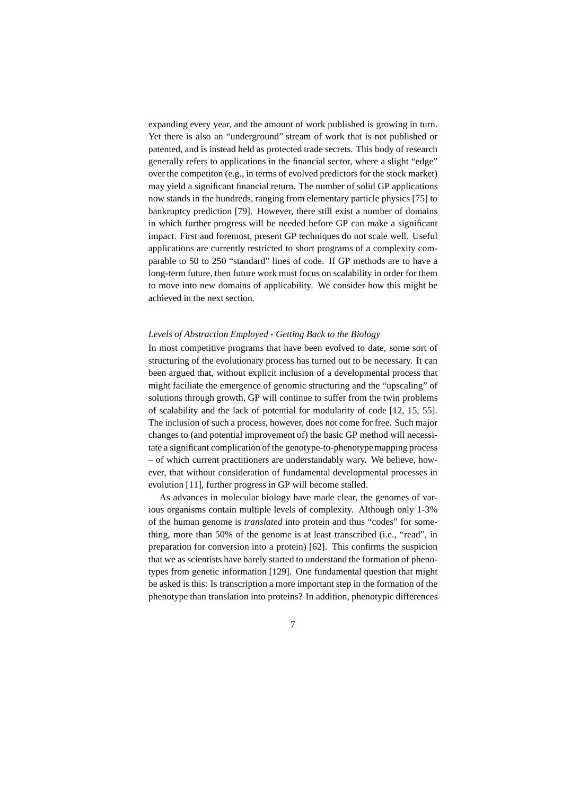expanding every year, and the amount of work published is growing in turn. Yet there is also an "underground" stream of work that is not published or patented, and is instead held as protected trade secrets. This body of research generally refers to applications in the financial sector, where a slight "edge" over the competiton (e.g., in terms of evolved predictors for the stock market) may yield a significant financial return. The number of solid GP applications now stands in the hundreds, ranging from elementary particle physics [75] to bankruptcy prediction [79]. However, there still exist a number of domains in which further progress will be needed before GP can make a significant impact. First and foremost, present GP techniques do not scale well. Useful applications are currently restricted to short programs of a complexity comparable to 50 to 250 "standard" lines of code. If GP methods are to have a long-term future, then future work must focus on scalability in order for them to move into new domains of applicability. We consider how this might be achieved in the next section.

## *Levels of Abstraction Employed - Getting Back to the Biology*

In most competitive programs that have been evolved to date, some sort of structuring of the evolutionary process has turned out to be necessary. It can been argued that, without explicit inclusion of a developmental process that might faciliate the emergence of genomic structuring and the "upscaling" of solutions through growth, GP will continue to suffer from the twin problems of scalability and the lack of potential for modularity of code [12, 15, 55]. The inclusion of such a process, however, does not come for free. Such major changes to (and potential improvement of) the basic GP method will necessitate a significant complication of the genotype-to-phenotypemapping process – of which current practitioners are understandably wary. We believe, however, that without consideration of fundamental developmental processes in evolution [11], further progress in GP will become stalled.

As advances in molecular biology have made clear, the genomes of various organisms contain multiple levels of complexity. Although only 1-3% of the human genome is *translated* into protein and thus "codes" for something, more than 50% of the genome is at least transcribed (i.e., "read", in preparation for conversion into a protein) [62]. This confirms the suspicion that we as scientists have barely started to understand the formation of phenotypes from genetic information [129]. One fundamental question that might be asked is this: Is transcription a more important step in the formation of the phenotype than translation into proteins? In addition, phenotypic differences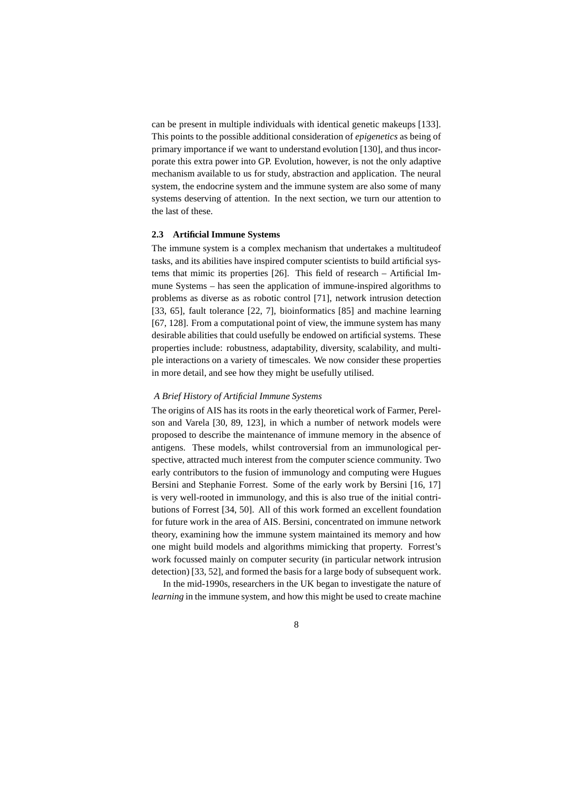can be present in multiple individuals with identical genetic makeups [133]. This points to the possible additional consideration of *epigenetics* as being of primary importance if we want to understand evolution [130], and thus incorporate this extra power into GP. Evolution, however, is not the only adaptive mechanism available to us for study, abstraction and application. The neural system, the endocrine system and the immune system are also some of many systems deserving of attention. In the next section, we turn our attention to the last of these.

## **2.3 Artificial Immune Systems**

The immune system is a complex mechanism that undertakes a multitudeof tasks, and its abilities have inspired computer scientists to build artificial systems that mimic its properties [26]. This field of research – Artificial Immune Systems – has seen the application of immune-inspired algorithms to problems as diverse as as robotic control [71], network intrusion detection [33, 65], fault tolerance [22, 7], bioinformatics [85] and machine learning [67, 128]. From a computational point of view, the immune system has many desirable abilities that could usefully be endowed on artificial systems. These properties include: robustness, adaptability, diversity, scalability, and multiple interactions on a variety of timescales. We now consider these properties in more detail, and see how they might be usefully utilised.

## *A Brief History of Artificial Immune Systems*

The origins of AIS has its roots in the early theoretical work of Farmer, Perelson and Varela [30, 89, 123], in which a number of network models were proposed to describe the maintenance of immune memory in the absence of antigens. These models, whilst controversial from an immunological perspective, attracted much interest from the computer science community. Two early contributors to the fusion of immunology and computing were Hugues Bersini and Stephanie Forrest. Some of the early work by Bersini [16, 17] is very well-rooted in immunology, and this is also true of the initial contributions of Forrest [34, 50]. All of this work formed an excellent foundation for future work in the area of AIS. Bersini, concentrated on immune network theory, examining how the immune system maintained its memory and how one might build models and algorithms mimicking that property. Forrest's work focussed mainly on computer security (in particular network intrusion detection) [33, 52], and formed the basis for a large body of subsequent work.

In the mid-1990s, researchers in the UK began to investigate the nature of *learning* in the immune system, and how this might be used to create machine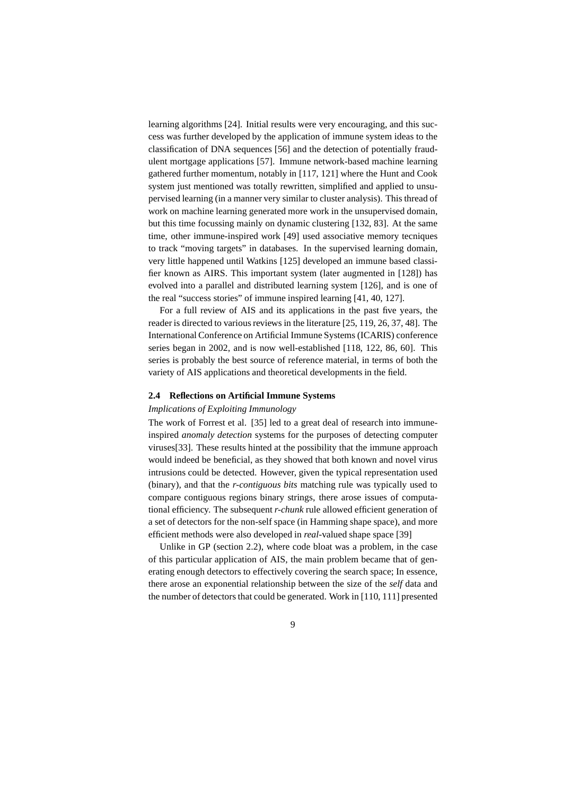learning algorithms [24]. Initial results were very encouraging, and this success was further developed by the application of immune system ideas to the classification of DNA sequences [56] and the detection of potentially fraudulent mortgage applications [57]. Immune network-based machine learning gathered further momentum, notably in [117, 121] where the Hunt and Cook system just mentioned was totally rewritten, simplified and applied to unsupervised learning (in a manner very similar to cluster analysis). This thread of work on machine learning generated more work in the unsupervised domain, but this time focussing mainly on dynamic clustering [132, 83]. At the same time, other immune-inspired work [49] used associative memory tecniques to track "moving targets" in databases. In the supervised learning domain, very little happened until Watkins [125] developed an immune based classifier known as AIRS. This important system (later augmented in [128]) has evolved into a parallel and distributed learning system [126], and is one of the real "success stories" of immune inspired learning [41, 40, 127].

For a full review of AIS and its applications in the past five years, the reader is directed to various reviews in the literature [25, 119, 26, 37, 48]. The International Conference on Artificial Immune Systems (ICARIS) conference series began in 2002, and is now well-established [118, 122, 86, 60]. This series is probably the best source of reference material, in terms of both the variety of AIS applications and theoretical developments in the field.

#### **2.4 Reflections on Artificial Immune Systems**

## *Implications of Exploiting Immunology*

The work of Forrest et al. [35] led to a great deal of research into immuneinspired *anomaly detection* systems for the purposes of detecting computer viruses[33]. These results hinted at the possibility that the immune approach would indeed be beneficial, as they showed that both known and novel virus intrusions could be detected. However, given the typical representation used (binary), and that the *r-contiguous bits* matching rule was typically used to compare contiguous regions binary strings, there arose issues of computational efficiency. The subsequent *r-chunk* rule allowed efficient generation of a set of detectors for the non-self space (in Hamming shape space), and more efficient methods were also developed in *real*-valued shape space [39]

Unlike in GP (section 2.2), where code bloat was a problem, in the case of this particular application of AIS, the main problem became that of generating enough detectors to effectively covering the search space; In essence, there arose an exponential relationship between the size of the *self* data and the number of detectors that could be generated. Work in [110, 111] presented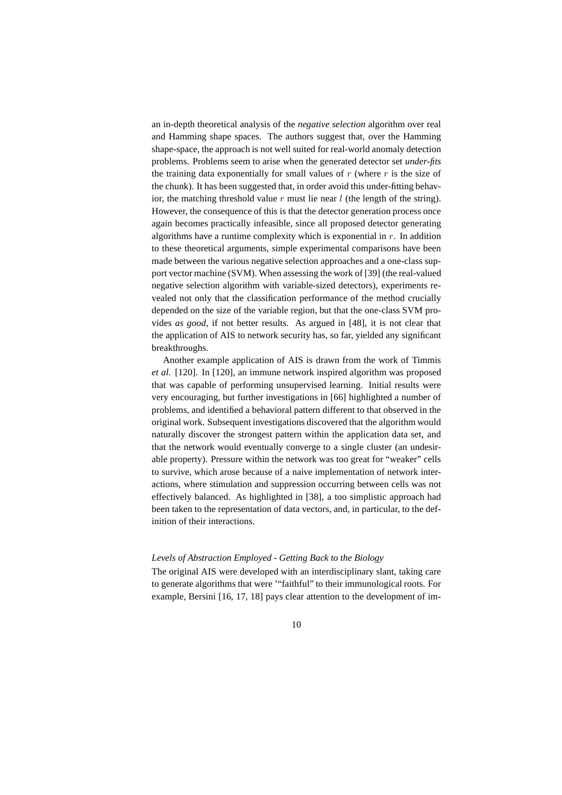an in-depth theoretical analysis of the *negative selection* algorithm over real and Hamming shape spaces. The authors suggest that, over the Hamming shape-space, the approach is not well suited for real-world anomaly detection problems. Problems seem to arise when the generated detector set *under-fits* the training data exponentially for small values of  $r$  (where  $r$  is the size of the chunk). It has been suggested that, in order avoid this under-fitting behavior, the matching threshold value  $r$  must lie near  $l$  (the length of the string). However, the consequence of this is that the detector generation process once again becomes practically infeasible, since all proposed detector generating algorithms have a runtime complexity which is exponential in  $r$ . In addition to these theoretical arguments, simple experimental comparisons have been made between the various negative selection approaches and a one-class support vector machine (SVM). When assessing the work of [39] (the real-valued negative selection algorithm with variable-sized detectors), experiments revealed not only that the classification performance of the method crucially depended on the size of the variable region, but that the one-class SVM provides *as good*, if not better results. As argued in [48], it is not clear that the application of AIS to network security has, so far, yielded any significant breakthroughs.

Another example application of AIS is drawn from the work of Timmis *et al.* [120]. In [120], an immune network inspired algorithm was proposed that was capable of performing unsupervised learning. Initial results were very encouraging, but further investigations in [66] highlighted a number of problems, and identified a behavioral pattern different to that observed in the original work. Subsequent investigations discovered that the algorithm would naturally discover the strongest pattern within the application data set, and that the network would eventually converge to a single cluster (an undesirable property). Pressure within the network was too great for "weaker" cells to survive, which arose because of a naive implementation of network interactions, where stimulation and suppression occurring between cells was not effectively balanced. As highlighted in [38], a too simplistic approach had been taken to the representation of data vectors, and, in particular, to the definition of their interactions.

## *Levels of Abstraction Employed - Getting Back to the Biology*

The original AIS were developed with an interdisciplinary slant, taking care to generate algorithms that were '"faithful" to their immunological roots. For example, Bersini [16, 17, 18] pays clear attention to the development of im-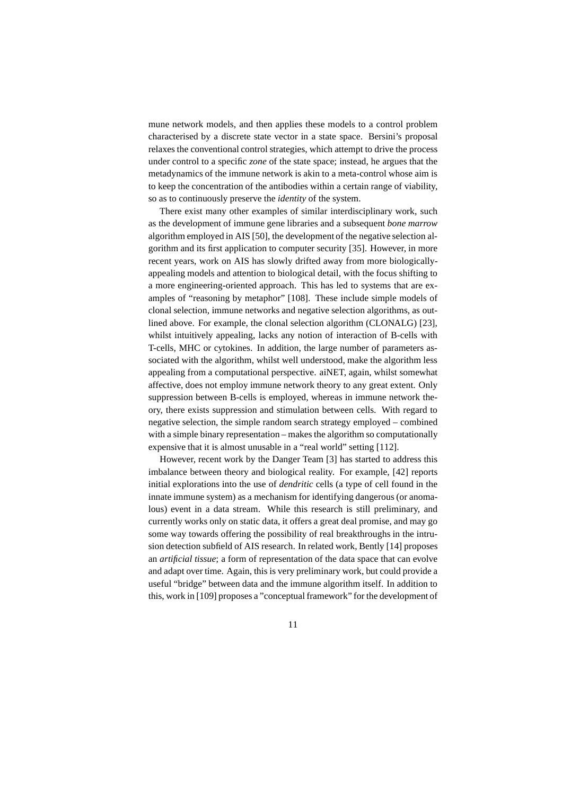mune network models, and then applies these models to a control problem characterised by a discrete state vector in a state space. Bersini's proposal relaxes the conventional control strategies, which attempt to drive the process under control to a specific *zone* of the state space; instead, he argues that the metadynamics of the immune network is akin to a meta-control whose aim is to keep the concentration of the antibodies within a certain range of viability, so as to continuously preserve the *identity* of the system.

There exist many other examples of similar interdisciplinary work, such as the development of immune gene libraries and a subsequent *bone marrow* algorithm employed in AIS [50], the development of the negative selection algorithm and its first application to computer security [35]. However, in more recent years, work on AIS has slowly drifted away from more biologicallyappealing models and attention to biological detail, with the focus shifting to a more engineering-oriented approach. This has led to systems that are examples of "reasoning by metaphor" [108]. These include simple models of clonal selection, immune networks and negative selection algorithms, as outlined above. For example, the clonal selection algorithm (CLONALG) [23], whilst intuitively appealing, lacks any notion of interaction of B-cells with T-cells, MHC or cytokines. In addition, the large number of parameters associated with the algorithm, whilst well understood, make the algorithm less appealing from a computational perspective. aiNET, again, whilst somewhat affective, does not employ immune network theory to any great extent. Only suppression between B-cells is employed, whereas in immune network theory, there exists suppression and stimulation between cells. With regard to negative selection, the simple random search strategy employed – combined with a simple binary representation – makes the algorithm so computationally expensive that it is almost unusable in a "real world" setting [112].

However, recent work by the Danger Team [3] has started to address this imbalance between theory and biological reality. For example, [42] reports initial explorations into the use of *dendritic* cells (a type of cell found in the innate immune system) as a mechanism for identifying dangerous (or anomalous) event in a data stream. While this research is still preliminary, and currently works only on static data, it offers a great deal promise, and may go some way towards offering the possibility of real breakthroughs in the intrusion detection subfield of AIS research. In related work, Bently [14] proposes an *artificial tissue*; a form of representation of the data space that can evolve and adapt over time. Again, this is very preliminary work, but could provide a useful "bridge" between data and the immune algorithm itself. In addition to this, work in [109] proposes a "conceptual framework" for the development of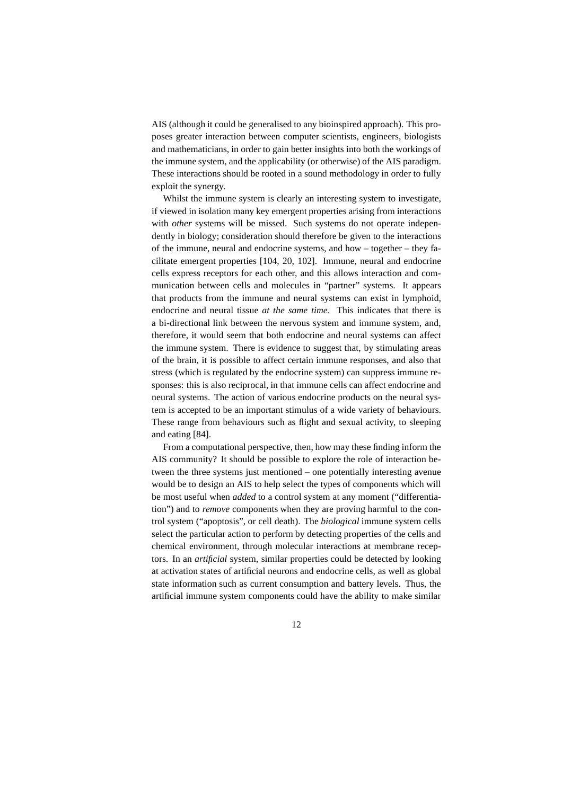AIS (although it could be generalised to any bioinspired approach). This proposes greater interaction between computer scientists, engineers, biologists and mathematicians, in order to gain better insights into both the workings of the immune system, and the applicability (or otherwise) of the AIS paradigm. These interactions should be rooted in a sound methodology in order to fully exploit the synergy.

Whilst the immune system is clearly an interesting system to investigate, if viewed in isolation many key emergent properties arising from interactions with *other* systems will be missed. Such systems do not operate independently in biology; consideration should therefore be given to the interactions of the immune, neural and endocrine systems, and how – together – they facilitate emergent properties [104, 20, 102]. Immune, neural and endocrine cells express receptors for each other, and this allows interaction and communication between cells and molecules in "partner" systems. It appears that products from the immune and neural systems can exist in lymphoid, endocrine and neural tissue *at the same time*. This indicates that there is a bi-directional link between the nervous system and immune system, and, therefore, it would seem that both endocrine and neural systems can affect the immune system. There is evidence to suggest that, by stimulating areas of the brain, it is possible to affect certain immune responses, and also that stress (which is regulated by the endocrine system) can suppress immune responses: this is also reciprocal, in that immune cells can affect endocrine and neural systems. The action of various endocrine products on the neural system is accepted to be an important stimulus of a wide variety of behaviours. These range from behaviours such as flight and sexual activity, to sleeping and eating [84].

From a computational perspective, then, how may these finding inform the AIS community? It should be possible to explore the role of interaction between the three systems just mentioned – one potentially interesting avenue would be to design an AIS to help select the types of components which will be most useful when *added* to a control system at any moment ("differentiation") and to *remove* components when they are proving harmful to the control system ("apoptosis", or cell death). The *biological* immune system cells select the particular action to perform by detecting properties of the cells and chemical environment, through molecular interactions at membrane receptors. In an *artificial* system, similar properties could be detected by looking at activation states of artificial neurons and endocrine cells, as well as global state information such as current consumption and battery levels. Thus, the artificial immune system components could have the ability to make similar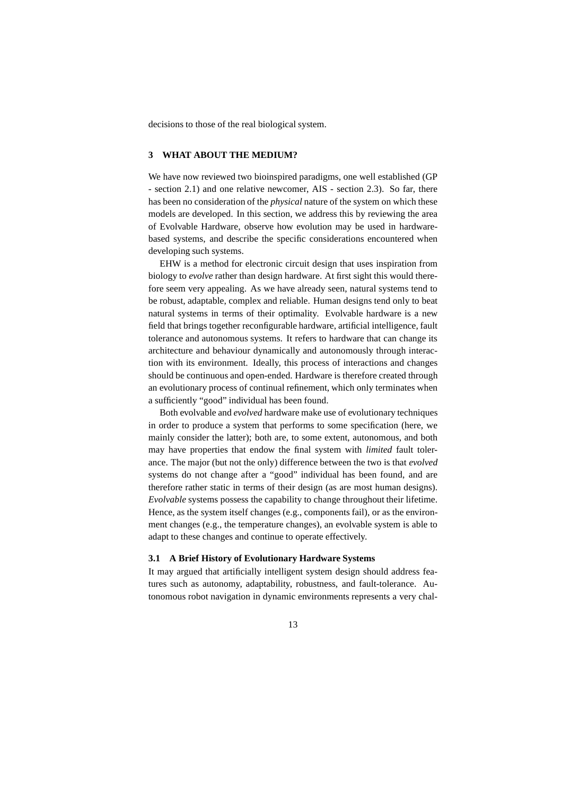decisions to those of the real biological system.

#### **3 WHAT ABOUT THE MEDIUM?**

We have now reviewed two bioinspired paradigms, one well established (GP - section 2.1) and one relative newcomer, AIS - section 2.3). So far, there has been no consideration of the *physical* nature of the system on which these models are developed. In this section, we address this by reviewing the area of Evolvable Hardware, observe how evolution may be used in hardwarebased systems, and describe the specific considerations encountered when developing such systems.

EHW is a method for electronic circuit design that uses inspiration from biology to *evolve* rather than design hardware. At first sight this would therefore seem very appealing. As we have already seen, natural systems tend to be robust, adaptable, complex and reliable. Human designs tend only to beat natural systems in terms of their optimality. Evolvable hardware is a new field that brings together reconfigurable hardware, artificial intelligence, fault tolerance and autonomous systems. It refers to hardware that can change its architecture and behaviour dynamically and autonomously through interaction with its environment. Ideally, this process of interactions and changes should be continuous and open-ended. Hardware is therefore created through an evolutionary process of continual refinement, which only terminates when a sufficiently "good" individual has been found.

Both evolvable and *evolved* hardware make use of evolutionary techniques in order to produce a system that performs to some specification (here, we mainly consider the latter); both are, to some extent, autonomous, and both may have properties that endow the final system with *limited* fault tolerance. The major (but not the only) difference between the two is that *evolved* systems do not change after a "good" individual has been found, and are therefore rather static in terms of their design (as are most human designs). *Evolvable* systems possess the capability to change throughout their lifetime. Hence, as the system itself changes (e.g., components fail), or as the environment changes (e.g., the temperature changes), an evolvable system is able to adapt to these changes and continue to operate effectively.

#### **3.1 A Brief History of Evolutionary Hardware Systems**

It may argued that artificially intelligent system design should address features such as autonomy, adaptability, robustness, and fault-tolerance. Autonomous robot navigation in dynamic environments represents a very chal-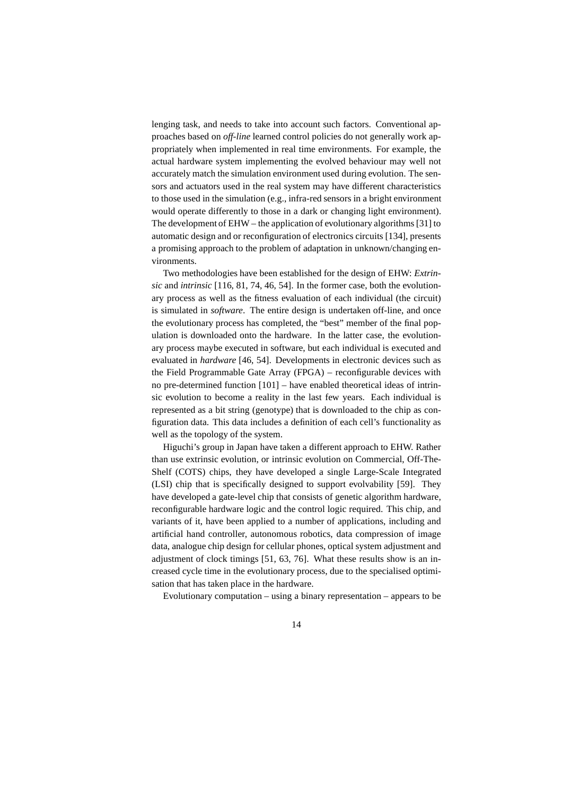lenging task, and needs to take into account such factors. Conventional approaches based on *off-line* learned control policies do not generally work appropriately when implemented in real time environments. For example, the actual hardware system implementing the evolved behaviour may well not accurately match the simulation environment used during evolution. The sensors and actuators used in the real system may have different characteristics to those used in the simulation (e.g., infra-red sensors in a bright environment would operate differently to those in a dark or changing light environment). The development of EHW – the application of evolutionary algorithms [31] to automatic design and or reconfiguration of electronics circuits [134], presents a promising approach to the problem of adaptation in unknown/changing environments.

Two methodologies have been established for the design of EHW: *Extrinsic* and *intrinsic* [116, 81, 74, 46, 54]. In the former case, both the evolutionary process as well as the fitness evaluation of each individual (the circuit) is simulated in *software*. The entire design is undertaken off-line, and once the evolutionary process has completed, the "best" member of the final population is downloaded onto the hardware. In the latter case, the evolutionary process maybe executed in software, but each individual is executed and evaluated in *hardware* [46, 54]. Developments in electronic devices such as the Field Programmable Gate Array (FPGA) – reconfigurable devices with no pre-determined function [101] – have enabled theoretical ideas of intrinsic evolution to become a reality in the last few years. Each individual is represented as a bit string (genotype) that is downloaded to the chip as configuration data. This data includes a definition of each cell's functionality as well as the topology of the system.

Higuchi's group in Japan have taken a different approach to EHW. Rather than use extrinsic evolution, or intrinsic evolution on Commercial, Off-The-Shelf (COTS) chips, they have developed a single Large-Scale Integrated (LSI) chip that is specifically designed to support evolvability [59]. They have developed a gate-level chip that consists of genetic algorithm hardware, reconfigurable hardware logic and the control logic required. This chip, and variants of it, have been applied to a number of applications, including and artificial hand controller, autonomous robotics, data compression of image data, analogue chip design for cellular phones, optical system adjustment and adjustment of clock timings [51, 63, 76]. What these results show is an increased cycle time in the evolutionary process, due to the specialised optimisation that has taken place in the hardware.

Evolutionary computation – using a binary representation – appears to be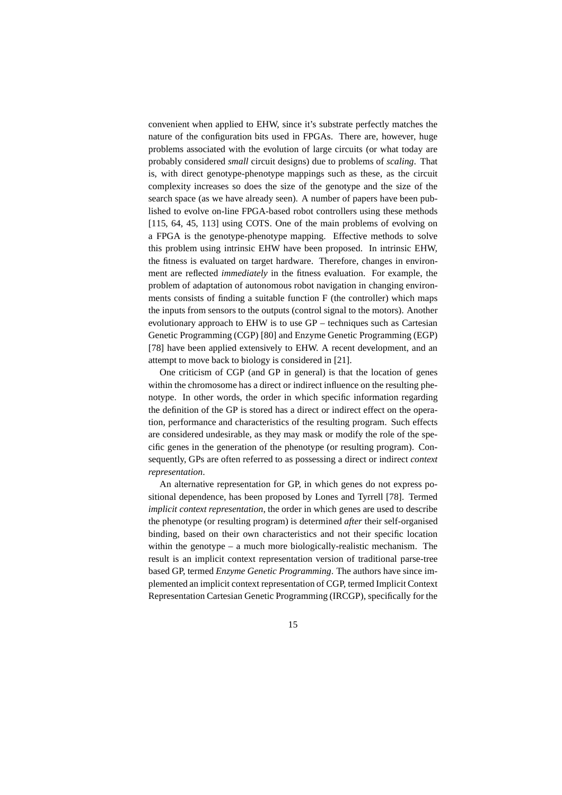convenient when applied to EHW, since it's substrate perfectly matches the nature of the configuration bits used in FPGAs. There are, however, huge problems associated with the evolution of large circuits (or what today are probably considered *small* circuit designs) due to problems of *scaling*. That is, with direct genotype-phenotype mappings such as these, as the circuit complexity increases so does the size of the genotype and the size of the search space (as we have already seen). A number of papers have been published to evolve on-line FPGA-based robot controllers using these methods [115, 64, 45, 113] using COTS. One of the main problems of evolving on a FPGA is the genotype-phenotype mapping. Effective methods to solve this problem using intrinsic EHW have been proposed. In intrinsic EHW, the fitness is evaluated on target hardware. Therefore, changes in environment are reflected *immediately* in the fitness evaluation. For example, the problem of adaptation of autonomous robot navigation in changing environments consists of finding a suitable function F (the controller) which maps the inputs from sensors to the outputs (control signal to the motors). Another evolutionary approach to EHW is to use GP – techniques such as Cartesian Genetic Programming (CGP) [80] and Enzyme Genetic Programming (EGP) [78] have been applied extensively to EHW. A recent development, and an attempt to move back to biology is considered in [21].

One criticism of CGP (and GP in general) is that the location of genes within the chromosome has a direct or indirect influence on the resulting phenotype. In other words, the order in which specific information regarding the definition of the GP is stored has a direct or indirect effect on the operation, performance and characteristics of the resulting program. Such effects are considered undesirable, as they may mask or modify the role of the specific genes in the generation of the phenotype (or resulting program). Consequently, GPs are often referred to as possessing a direct or indirect *context representation*.

An alternative representation for GP, in which genes do not express positional dependence, has been proposed by Lones and Tyrrell [78]. Termed *implicit context representation*, the order in which genes are used to describe the phenotype (or resulting program) is determined *after* their self-organised binding, based on their own characteristics and not their specific location within the genotype – a much more biologically-realistic mechanism. The result is an implicit context representation version of traditional parse-tree based GP, termed *Enzyme Genetic Programming*. The authors have since implemented an implicit context representation of CGP, termed Implicit Context Representation Cartesian Genetic Programming (IRCGP), specifically for the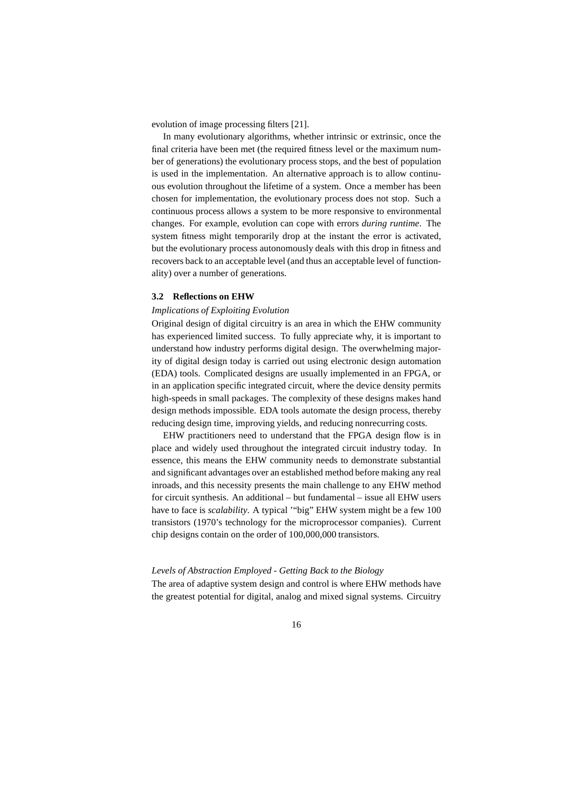evolution of image processing filters [21].

In many evolutionary algorithms, whether intrinsic or extrinsic, once the final criteria have been met (the required fitness level or the maximum number of generations) the evolutionary process stops, and the best of population is used in the implementation. An alternative approach is to allow continuous evolution throughout the lifetime of a system. Once a member has been chosen for implementation, the evolutionary process does not stop. Such a continuous process allows a system to be more responsive to environmental changes. For example, evolution can cope with errors *during runtime*. The system fitness might temporarily drop at the instant the error is activated, but the evolutionary process autonomously deals with this drop in fitness and recovers back to an acceptable level (and thus an acceptable level of functionality) over a number of generations.

#### **3.2 Reflections on EHW**

#### *Implications of Exploiting Evolution*

Original design of digital circuitry is an area in which the EHW community has experienced limited success. To fully appreciate why, it is important to understand how industry performs digital design. The overwhelming majority of digital design today is carried out using electronic design automation (EDA) tools. Complicated designs are usually implemented in an FPGA, or in an application specific integrated circuit, where the device density permits high-speeds in small packages. The complexity of these designs makes hand design methods impossible. EDA tools automate the design process, thereby reducing design time, improving yields, and reducing nonrecurring costs.

EHW practitioners need to understand that the FPGA design flow is in place and widely used throughout the integrated circuit industry today. In essence, this means the EHW community needs to demonstrate substantial and significant advantages over an established method before making any real inroads, and this necessity presents the main challenge to any EHW method for circuit synthesis. An additional – but fundamental – issue all EHW users have to face is *scalability*. A typical '"big" EHW system might be a few 100 transistors (1970's technology for the microprocessor companies). Current chip designs contain on the order of 100,000,000 transistors.

## *Levels of Abstraction Employed - Getting Back to the Biology*

The area of adaptive system design and control is where EHW methods have the greatest potential for digital, analog and mixed signal systems. Circuitry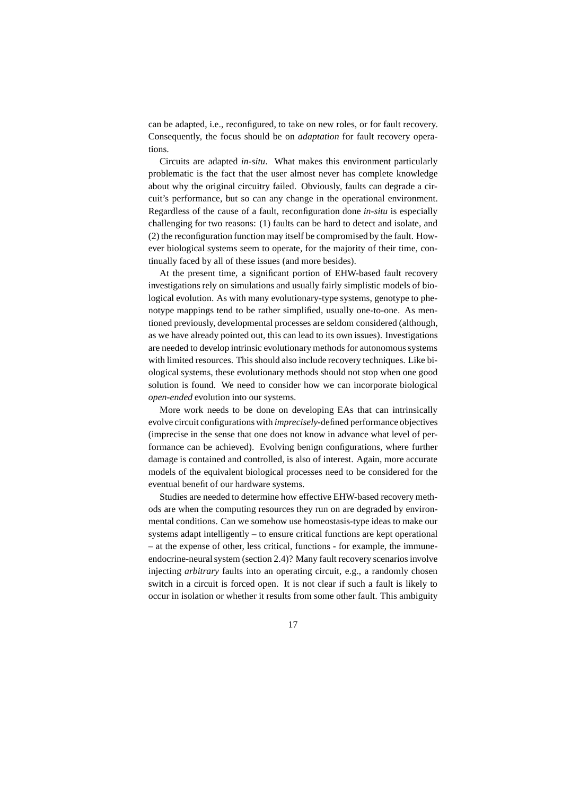can be adapted, i.e., reconfigured, to take on new roles, or for fault recovery. Consequently, the focus should be on *adaptation* for fault recovery operations.

Circuits are adapted *in-situ*. What makes this environment particularly problematic is the fact that the user almost never has complete knowledge about why the original circuitry failed. Obviously, faults can degrade a circuit's performance, but so can any change in the operational environment. Regardless of the cause of a fault, reconfiguration done *in-situ* is especially challenging for two reasons: (1) faults can be hard to detect and isolate, and (2) the reconfiguration function may itself be compromised by the fault. However biological systems seem to operate, for the majority of their time, continually faced by all of these issues (and more besides).

At the present time, a significant portion of EHW-based fault recovery investigations rely on simulations and usually fairly simplistic models of biological evolution. As with many evolutionary-type systems, genotype to phenotype mappings tend to be rather simplified, usually one-to-one. As mentioned previously, developmental processes are seldom considered (although, as we have already pointed out, this can lead to its own issues). Investigations are needed to develop intrinsic evolutionary methods for autonomous systems with limited resources. This should also include recovery techniques. Like biological systems, these evolutionary methods should not stop when one good solution is found. We need to consider how we can incorporate biological *open-ended* evolution into our systems.

More work needs to be done on developing EAs that can intrinsically evolve circuit configurations with *imprecisely*-defined performance objectives (imprecise in the sense that one does not know in advance what level of performance can be achieved). Evolving benign configurations, where further damage is contained and controlled, is also of interest. Again, more accurate models of the equivalent biological processes need to be considered for the eventual benefit of our hardware systems.

Studies are needed to determine how effective EHW-based recovery methods are when the computing resources they run on are degraded by environmental conditions. Can we somehow use homeostasis-type ideas to make our systems adapt intelligently – to ensure critical functions are kept operational – at the expense of other, less critical, functions - for example, the immuneendocrine-neural system (section 2.4)? Many fault recovery scenarios involve injecting *arbitrary* faults into an operating circuit, e.g., a randomly chosen switch in a circuit is forced open. It is not clear if such a fault is likely to occur in isolation or whether it results from some other fault. This ambiguity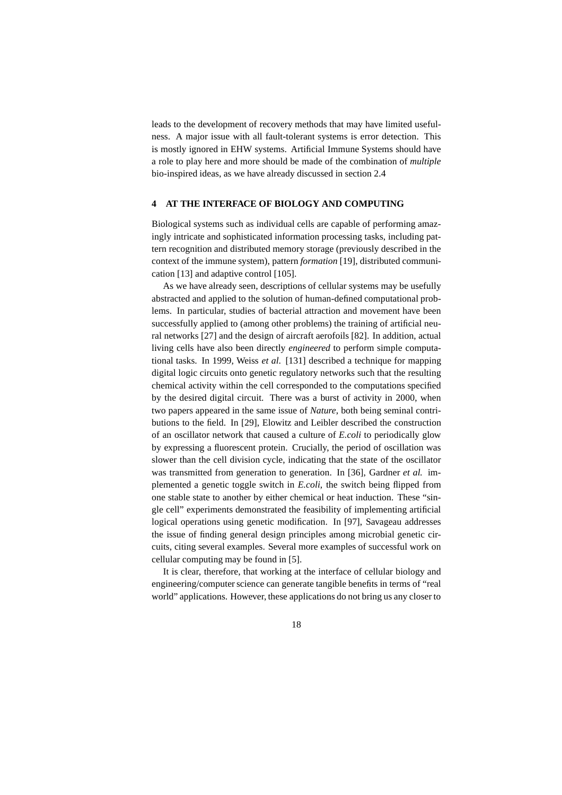leads to the development of recovery methods that may have limited usefulness. A major issue with all fault-tolerant systems is error detection. This is mostly ignored in EHW systems. Artificial Immune Systems should have a role to play here and more should be made of the combination of *multiple* bio-inspired ideas, as we have already discussed in section 2.4

# **4 AT THE INTERFACE OF BIOLOGY AND COMPUTING**

Biological systems such as individual cells are capable of performing amazingly intricate and sophisticated information processing tasks, including pattern recognition and distributed memory storage (previously described in the context of the immune system), pattern *formation* [19], distributed communication [13] and adaptive control [105].

As we have already seen, descriptions of cellular systems may be usefully abstracted and applied to the solution of human-defined computational problems. In particular, studies of bacterial attraction and movement have been successfully applied to (among other problems) the training of artificial neural networks [27] and the design of aircraft aerofoils [82]. In addition, actual living cells have also been directly *engineered* to perform simple computational tasks. In 1999, Weiss *et al*. [131] described a technique for mapping digital logic circuits onto genetic regulatory networks such that the resulting chemical activity within the cell corresponded to the computations specified by the desired digital circuit. There was a burst of activity in 2000, when two papers appeared in the same issue of *Nature*, both being seminal contributions to the field. In [29], Elowitz and Leibler described the construction of an oscillator network that caused a culture of *E.coli* to periodically glow by expressing a fluorescent protein. Crucially, the period of oscillation was slower than the cell division cycle, indicating that the state of the oscillator was transmitted from generation to generation. In [36], Gardner *et al.* implemented a genetic toggle switch in *E.coli*, the switch being flipped from one stable state to another by either chemical or heat induction. These "single cell" experiments demonstrated the feasibility of implementing artificial logical operations using genetic modification. In [97], Savageau addresses the issue of finding general design principles among microbial genetic circuits, citing several examples. Several more examples of successful work on cellular computing may be found in [5].

It is clear, therefore, that working at the interface of cellular biology and engineering/computer science can generate tangible benefits in terms of "real world" applications. However, these applications do not bring us any closer to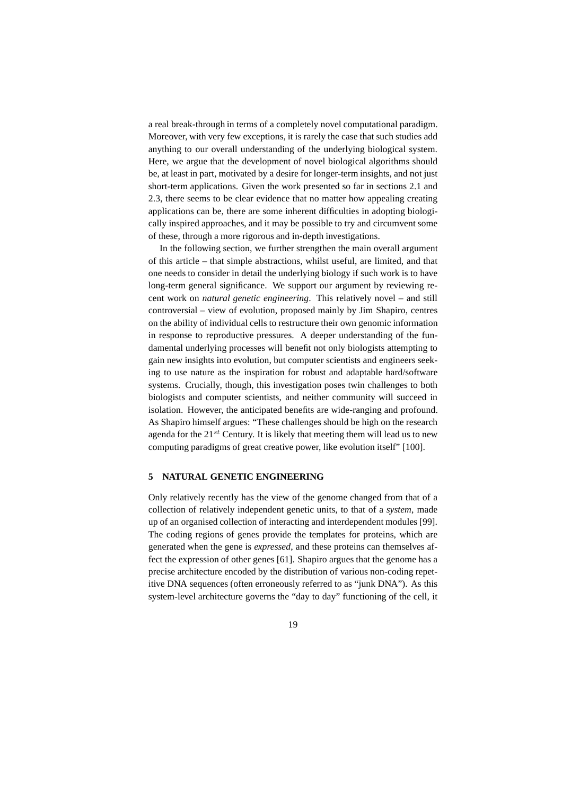a real break-through in terms of a completely novel computational paradigm. Moreover, with very few exceptions, it is rarely the case that such studies add anything to our overall understanding of the underlying biological system. Here, we argue that the development of novel biological algorithms should be, at least in part, motivated by a desire for longer-term insights, and not just short-term applications. Given the work presented so far in sections 2.1 and 2.3, there seems to be clear evidence that no matter how appealing creating applications can be, there are some inherent difficulties in adopting biologically inspired approaches, and it may be possible to try and circumvent some of these, through a more rigorous and in-depth investigations.

In the following section, we further strengthen the main overall argument of this article – that simple abstractions, whilst useful, are limited, and that one needs to consider in detail the underlying biology if such work is to have long-term general significance. We support our argument by reviewing recent work on *natural genetic engineering*. This relatively novel – and still controversial – view of evolution, proposed mainly by Jim Shapiro, centres on the ability of individual cells to restructure their own genomic information in response to reproductive pressures. A deeper understanding of the fundamental underlying processes will benefit not only biologists attempting to gain new insights into evolution, but computer scientists and engineers seeking to use nature as the inspiration for robust and adaptable hard/software systems. Crucially, though, this investigation poses twin challenges to both biologists and computer scientists, and neither community will succeed in isolation. However, the anticipated benefits are wide-ranging and profound. As Shapiro himself argues: "These challenges should be high on the research agenda for the  $21^{st}$  Century. It is likely that meeting them will lead us to new computing paradigms of great creative power, like evolution itself" [100].

#### **5 NATURAL GENETIC ENGINEERING**

Only relatively recently has the view of the genome changed from that of a collection of relatively independent genetic units, to that of a *system*, made up of an organised collection of interacting and interdependent modules [99]. The coding regions of genes provide the templates for proteins, which are generated when the gene is *expressed*, and these proteins can themselves affect the expression of other genes [61]. Shapiro argues that the genome has a precise architecture encoded by the distribution of various non-coding repetitive DNA sequences (often erroneously referred to as "junk DNA"). As this system-level architecture governs the "day to day" functioning of the cell, it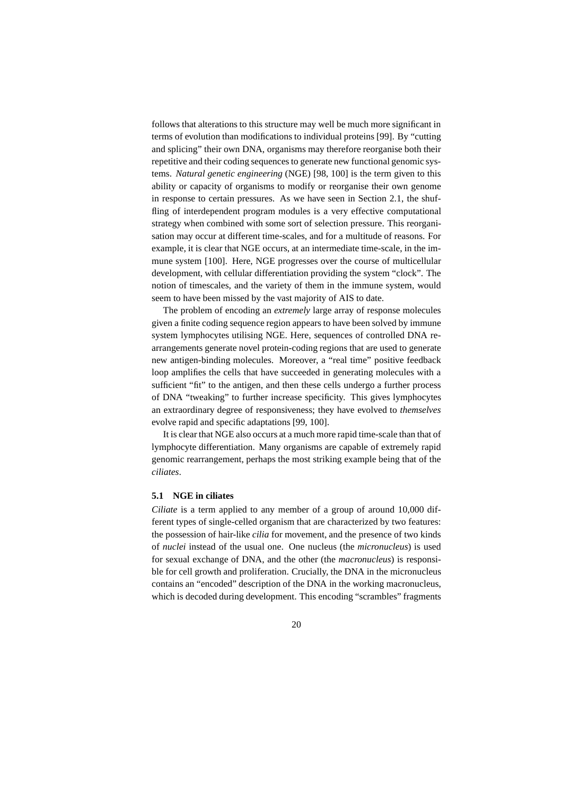follows that alterations to this structure may well be much more significant in terms of evolution than modifications to individual proteins [99]. By "cutting and splicing" their own DNA, organisms may therefore reorganise both their repetitive and their coding sequences to generate new functional genomic systems. *Natural genetic engineering* (NGE) [98, 100] is the term given to this ability or capacity of organisms to modify or reorganise their own genome in response to certain pressures. As we have seen in Section 2.1, the shuffling of interdependent program modules is a very effective computational strategy when combined with some sort of selection pressure. This reorganisation may occur at different time-scales, and for a multitude of reasons. For example, it is clear that NGE occurs, at an intermediate time-scale, in the immune system [100]. Here, NGE progresses over the course of multicellular development, with cellular differentiation providing the system "clock". The notion of timescales, and the variety of them in the immune system, would seem to have been missed by the vast majority of AIS to date.

The problem of encoding an *extremely* large array of response molecules given a finite coding sequence region appears to have been solved by immune system lymphocytes utilising NGE. Here, sequences of controlled DNA rearrangements generate novel protein-coding regions that are used to generate new antigen-binding molecules. Moreover, a "real time" positive feedback loop amplifies the cells that have succeeded in generating molecules with a sufficient "fit" to the antigen, and then these cells undergo a further process of DNA "tweaking" to further increase specificity. This gives lymphocytes an extraordinary degree of responsiveness; they have evolved to *themselves* evolve rapid and specific adaptations [99, 100].

It is clear that NGE also occurs at a much more rapid time-scale than that of lymphocyte differentiation. Many organisms are capable of extremely rapid genomic rearrangement, perhaps the most striking example being that of the *ciliates*.

# **5.1 NGE in ciliates**

*Ciliate* is a term applied to any member of a group of around 10,000 different types of single-celled organism that are characterized by two features: the possession of hair-like *cilia* for movement, and the presence of two kinds of *nuclei* instead of the usual one. One nucleus (the *micronucleus*) is used for sexual exchange of DNA, and the other (the *macronucleus*) is responsible for cell growth and proliferation. Crucially, the DNA in the micronucleus contains an "encoded" description of the DNA in the working macronucleus, which is decoded during development. This encoding "scrambles" fragments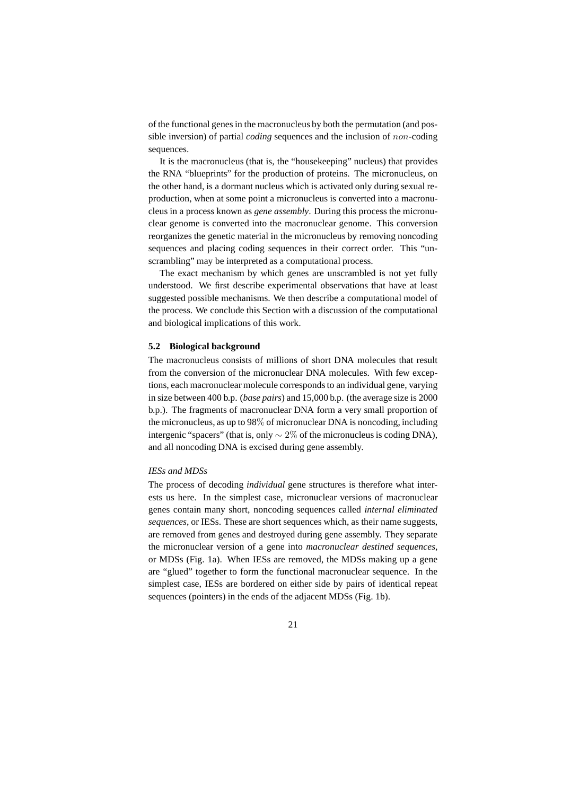of the functional genes in the macronucleus by both the permutation (and possible inversion) of partial *coding* sequences and the inclusion of non-coding sequences.

It is the macronucleus (that is, the "housekeeping" nucleus) that provides the RNA "blueprints" for the production of proteins. The micronucleus, on the other hand, is a dormant nucleus which is activated only during sexual reproduction, when at some point a micronucleus is converted into a macronucleus in a process known as *gene assembly*. During this process the micronuclear genome is converted into the macronuclear genome. This conversion reorganizes the genetic material in the micronucleus by removing noncoding sequences and placing coding sequences in their correct order. This "unscrambling" may be interpreted as a computational process.

The exact mechanism by which genes are unscrambled is not yet fully understood. We first describe experimental observations that have at least suggested possible mechanisms. We then describe a computational model of the process. We conclude this Section with a discussion of the computational and biological implications of this work.

## **5.2 Biological background**

The macronucleus consists of millions of short DNA molecules that result from the conversion of the micronuclear DNA molecules. With few exceptions, each macronuclear molecule corresponds to an individual gene, varying in size between 400 b.p. (*base pairs*) and 15,000 b.p. (the average size is 2000 b.p.). The fragments of macronuclear DNA form a very small proportion of the micronucleus, as up to 98% of micronuclear DNA is noncoding, including intergenic "spacers" (that is, only  $\sim 2\%$  of the micronucleus is coding DNA), and all noncoding DNA is excised during gene assembly.

## *IESs and MDSs*

The process of decoding *individual* gene structures is therefore what interests us here. In the simplest case, micronuclear versions of macronuclear genes contain many short, noncoding sequences called *internal eliminated sequences*, or IESs. These are short sequences which, as their name suggests, are removed from genes and destroyed during gene assembly. They separate the micronuclear version of a gene into *macronuclear destined sequences*, or MDSs (Fig. 1a). When IESs are removed, the MDSs making up a gene are "glued" together to form the functional macronuclear sequence. In the simplest case, IESs are bordered on either side by pairs of identical repeat sequences (pointers) in the ends of the adjacent MDSs (Fig. 1b).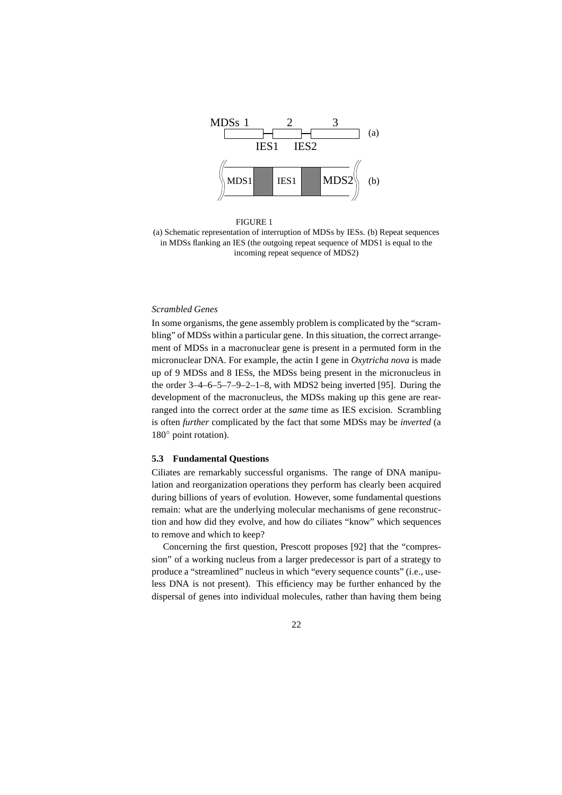

FIGURE 1 (a) Schematic representation of interruption of MDSs by IESs. (b) Repeat sequences in MDSs flanking an IES (the outgoing repeat sequence of MDS1 is equal to the incoming repeat sequence of MDS2)

## *Scrambled Genes*

In some organisms, the gene assembly problem is complicated by the "scrambling" of MDSs within a particular gene. In this situation, the correct arrangement of MDSs in a macronuclear gene is present in a permuted form in the micronuclear DNA. For example, the actin I gene in *Oxytricha nova* is made up of 9 MDSs and 8 IESs, the MDSs being present in the micronucleus in the order 3–4–6–5–7–9–2–1–8, with MDS2 being inverted [95]. During the development of the macronucleus, the MDSs making up this gene are rearranged into the correct order at the *same* time as IES excision. Scrambling is often *further* complicated by the fact that some MDSs may be *inverted* (a 180◦ point rotation).

## **5.3 Fundamental Questions**

Ciliates are remarkably successful organisms. The range of DNA manipulation and reorganization operations they perform has clearly been acquired during billions of years of evolution. However, some fundamental questions remain: what are the underlying molecular mechanisms of gene reconstruction and how did they evolve, and how do ciliates "know" which sequences to remove and which to keep?

Concerning the first question, Prescott proposes [92] that the "compression" of a working nucleus from a larger predecessor is part of a strategy to produce a "streamlined" nucleus in which "every sequence counts" (i.e., useless DNA is not present). This efficiency may be further enhanced by the dispersal of genes into individual molecules, rather than having them being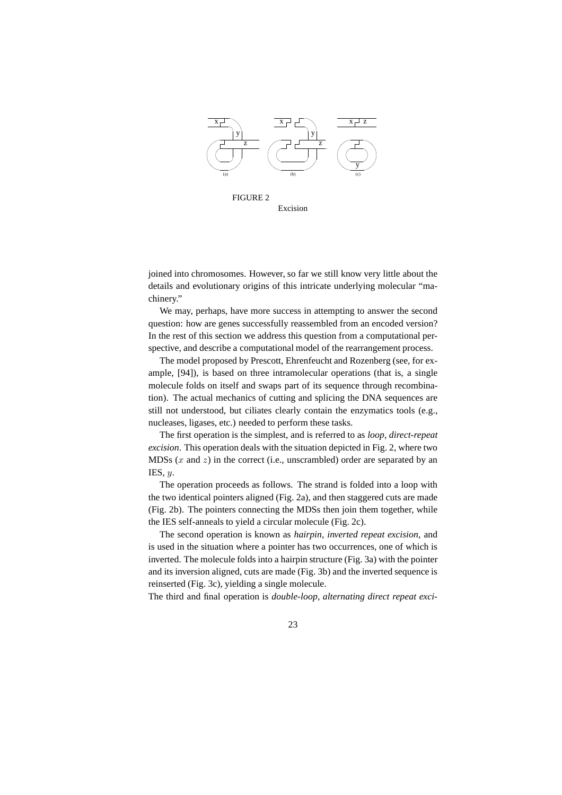

Excision

joined into chromosomes. However, so far we still know very little about the details and evolutionary origins of this intricate underlying molecular "machinery."

We may, perhaps, have more success in attempting to answer the second question: how are genes successfully reassembled from an encoded version? In the rest of this section we address this question from a computational perspective, and describe a computational model of the rearrangement process.

The model proposed by Prescott, Ehrenfeucht and Rozenberg (see, for example, [94]), is based on three intramolecular operations (that is, a single molecule folds on itself and swaps part of its sequence through recombination). The actual mechanics of cutting and splicing the DNA sequences are still not understood, but ciliates clearly contain the enzymatics tools (e.g., nucleases, ligases, etc.) needed to perform these tasks.

The first operation is the simplest, and is referred to as *loop, direct-repeat excision*. This operation deals with the situation depicted in Fig. 2, where two MDSs  $(x \text{ and } z)$  in the correct (i.e., unscrambled) order are separated by an IES,  $y$ .

The operation proceeds as follows. The strand is folded into a loop with the two identical pointers aligned (Fig. 2a), and then staggered cuts are made (Fig. 2b). The pointers connecting the MDSs then join them together, while the IES self-anneals to yield a circular molecule (Fig. 2c).

The second operation is known as *hairpin, inverted repeat excision*, and is used in the situation where a pointer has two occurrences, one of which is inverted. The molecule folds into a hairpin structure (Fig. 3a) with the pointer and its inversion aligned, cuts are made (Fig. 3b) and the inverted sequence is reinserted (Fig. 3c), yielding a single molecule.

The third and final operation is *double-loop, alternating direct repeat exci-*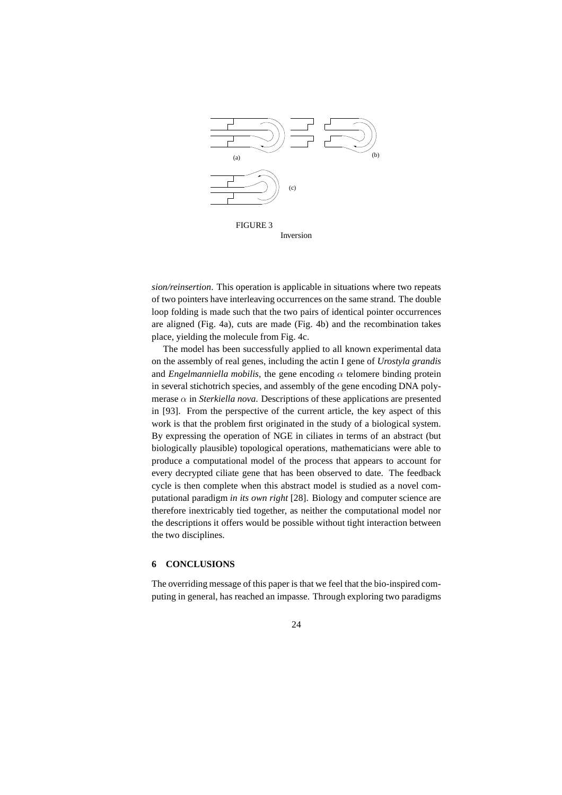

*sion/reinsertion*. This operation is applicable in situations where two repeats of two pointers have interleaving occurrences on the same strand. The double loop folding is made such that the two pairs of identical pointer occurrences are aligned (Fig. 4a), cuts are made (Fig. 4b) and the recombination takes place, yielding the molecule from Fig. 4c.

The model has been successfully applied to all known experimental data on the assembly of real genes, including the actin I gene of *Urostyla grandis* and *Engelmanniella mobilis*, the gene encoding  $\alpha$  telomere binding protein in several stichotrich species, and assembly of the gene encoding DNA polymerase  $\alpha$  in *Sterkiella nova*. Descriptions of these applications are presented in [93]. From the perspective of the current article, the key aspect of this work is that the problem first originated in the study of a biological system. By expressing the operation of NGE in ciliates in terms of an abstract (but biologically plausible) topological operations, mathematicians were able to produce a computational model of the process that appears to account for every decrypted ciliate gene that has been observed to date. The feedback cycle is then complete when this abstract model is studied as a novel computational paradigm *in its own right* [28]. Biology and computer science are therefore inextricably tied together, as neither the computational model nor the descriptions it offers would be possible without tight interaction between the two disciplines.

# **6 CONCLUSIONS**

The overriding message of this paper is that we feel that the bio-inspired computing in general, has reached an impasse. Through exploring two paradigms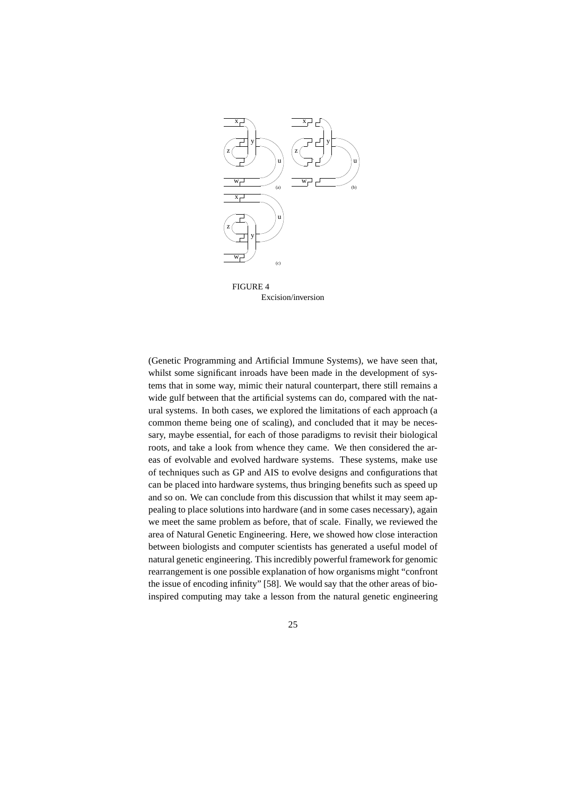

FIGURE 4 Excision/inversion

(Genetic Programming and Artificial Immune Systems), we have seen that, whilst some significant inroads have been made in the development of systems that in some way, mimic their natural counterpart, there still remains a wide gulf between that the artificial systems can do, compared with the natural systems. In both cases, we explored the limitations of each approach (a common theme being one of scaling), and concluded that it may be necessary, maybe essential, for each of those paradigms to revisit their biological roots, and take a look from whence they came. We then considered the areas of evolvable and evolved hardware systems. These systems, make use of techniques such as GP and AIS to evolve designs and configurations that can be placed into hardware systems, thus bringing benefits such as speed up and so on. We can conclude from this discussion that whilst it may seem appealing to place solutions into hardware (and in some cases necessary), again we meet the same problem as before, that of scale. Finally, we reviewed the area of Natural Genetic Engineering. Here, we showed how close interaction between biologists and computer scientists has generated a useful model of natural genetic engineering. This incredibly powerful framework for genomic rearrangement is one possible explanation of how organisms might "confront the issue of encoding infinity" [58]. We would say that the other areas of bioinspired computing may take a lesson from the natural genetic engineering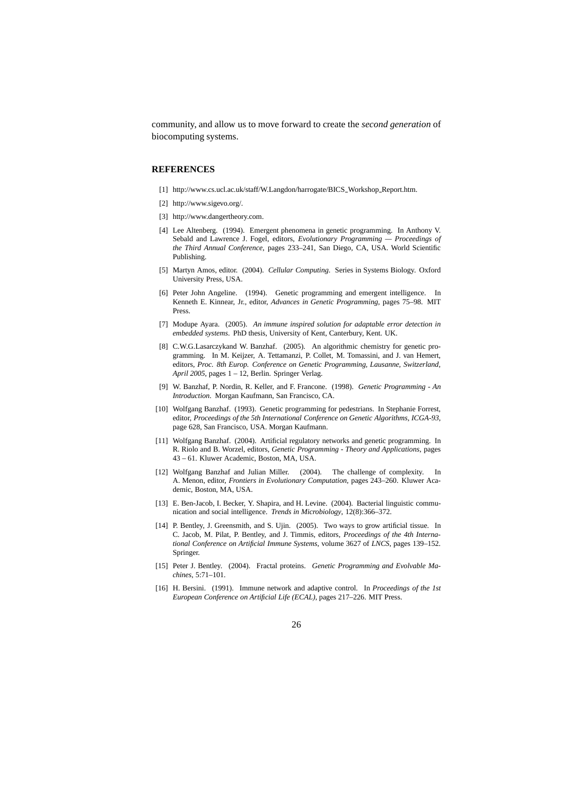community, and allow us to move forward to create the *second generation* of biocomputing systems.

## **REFERENCES**

- [1] http://www.cs.ucl.ac.uk/staff/W.Langdon/harrogate/BICS Workshop Report.htm.
- [2] http://www.sigevo.org/.
- [3] http://www.dangertheory.com.
- [4] Lee Altenberg. (1994). Emergent phenomena in genetic programming. In Anthony V. Sebald and Lawrence J. Fogel, editors, *Evolutionary Programming — Proceedings of the Third Annual Conference*, pages 233–241, San Diego, CA, USA. World Scientific Publishing.
- [5] Martyn Amos, editor. (2004). *Cellular Computing*. Series in Systems Biology. Oxford University Press, USA.
- [6] Peter John Angeline. (1994). Genetic programming and emergent intelligence. In Kenneth E. Kinnear, Jr., editor, *Advances in Genetic Programming*, pages 75–98. MIT Press.
- [7] Modupe Ayara. (2005). *An immune inspired solution for adaptable error detection in embedded systems*. PhD thesis, University of Kent, Canterbury, Kent. UK.
- [8] C.W.G.Lasarczykand W. Banzhaf. (2005). An algorithmic chemistry for genetic programming. In M. Keijzer, A. Tettamanzi, P. Collet, M. Tomassini, and J. van Hemert, editors, *Proc. 8th Europ. Conference on Genetic Programming, Lausanne, Switzerland, April 2005*, pages 1 – 12, Berlin. Springer Verlag.
- [9] W. Banzhaf, P. Nordin, R. Keller, and F. Francone. (1998). *Genetic Programming An Introduction*. Morgan Kaufmann, San Francisco, CA.
- [10] Wolfgang Banzhaf. (1993). Genetic programming for pedestrians. In Stephanie Forrest, editor, *Proceedings of the 5th International Conference on Genetic Algorithms, ICGA-93*, page 628, San Francisco, USA. Morgan Kaufmann.
- [11] Wolfgang Banzhaf. (2004). Artificial regulatory networks and genetic programming. In R. Riolo and B. Worzel, editors, *Genetic Programming - Theory and Applications*, pages 43 – 61. Kluwer Academic, Boston, MA, USA.
- [12] Wolfgang Banzhaf and Julian Miller. (2004). The challenge of complexity. In A. Menon, editor, *Frontiers in Evolutionary Computation*, pages 243–260. Kluwer Academic, Boston, MA, USA.
- [13] E. Ben-Jacob, I. Becker, Y. Shapira, and H. Levine. (2004). Bacterial linguistic communication and social intelligence. *Trends in Microbiology*, 12(8):366–372.
- [14] P. Bentley, J. Greensmith, and S. Ujin. (2005). Two ways to grow artificial tissue. In C. Jacob, M. Pilat, P. Bentley, and J. Timmis, editors, *Proceedings of the 4th International Conference on Artificial Immune Systems*, volume 3627 of *LNCS*, pages 139–152. Springer.
- [15] Peter J. Bentley. (2004). Fractal proteins. *Genetic Programming and Evolvable Machines*, 5:71–101.
- [16] H. Bersini. (1991). Immune network and adaptive control. In *Proceedings of the 1st European Conference on Artificial Life (ECAL)*, pages 217–226. MIT Press.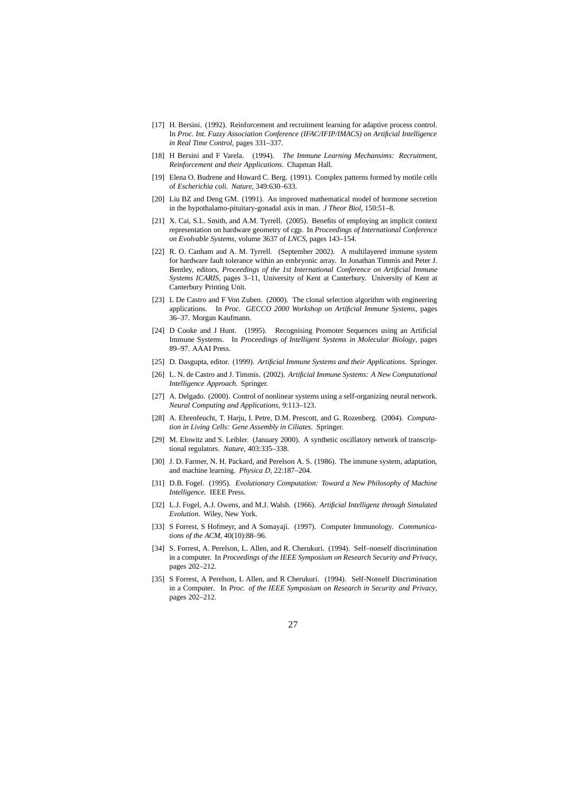- [17] H. Bersini. (1992). Reinforcement and recruitment learning for adaptive process control. In *Proc. Int. Fuzzy Association Conference (IFAC/IFIP/IMACS) on Artificial Intelligence in Real Time Control*, pages 331–337.
- [18] H Bersini and F Varela. (1994). *The Immune Learning Mechansims: Recruitment, Reinforcement and their Applications*. Chapman Hall.
- [19] Elena O. Budrene and Howard C. Berg. (1991). Complex patterns formed by motile cells of *Escherichia coli*. *Nature*, 349:630–633.
- [20] Liu BZ and Deng GM. (1991). An improved mathematical model of hormone secretion in the hypothalamo-pituitary-gonadal axis in man. *J Theor Biol*, 150:51–8.
- [21] X. Cai, S.L. Smith, and A.M. Tyrrell. (2005). Benefits of employing an implicit context representation on hardware geometry of cgp. In *Proceedings of International Conference on Evolvable Systems*, volume 3637 of *LNCS*, pages 143–154.
- [22] R. O. Canham and A. M. Tyrrell. (September 2002). A multilayered immune system for hardware fault tolerance within an embryonic array. In Jonathan Timmis and Peter J. Bentley, editors, *Proceedings of the 1st International Conference on Artificial Immune Systems ICARIS*, pages 3–11, University of Kent at Canterbury. University of Kent at Canterbury Printing Unit.
- [23] L De Castro and F Von Zuben. (2000). The clonal selection algorithm with engineering applications. In *Proc. GECCO 2000 Workshop on Artificial Immune Systems*, pages 36–37. Morgan Kaufmann.
- [24] D Cooke and J Hunt. (1995). Recognising Promoter Sequences using an Artificial Immune Systems. In *Proceedings of Intelligent Systems in Molecular Biology*, pages 89–97. AAAI Press.
- [25] D. Dasgupta, editor. (1999). *Artificial Immune Systems and their Applications*. Springer.
- [26] L. N. de Castro and J. Timmis. (2002). *Artificial Immune Systems: A New Computational Intelligence Approach*. Springer.
- [27] A. Delgado. (2000). Control of nonlinear systems using a self-organizing neural network. *Neural Computing and Applications*, 9:113–123.
- [28] A. Ehrenfeucht, T. Harju, I. Petre, D.M. Prescott, and G. Rozenberg. (2004). *Computation in Living Cells: Gene Assembly in Ciliates*. Springer.
- [29] M. Elowitz and S. Leibler. (January 2000). A synthetic oscillatory network of transcriptional regulators. *Nature*, 403:335–338.
- [30] J. D. Farmer, N. H. Packard, and Perelson A. S. (1986). The immune system, adaptation, and machine learning. *Physica D*, 22:187–204.
- [31] D.B. Fogel. (1995). *Evolutionary Computation: Toward a New Philosophy of Machine Intelligence*. IEEE Press.
- [32] L.J. Fogel, A.J. Owens, and M.J. Walsh. (1966). *Artificial Intelligenz through Simulated Evolution*. Wiley, New York.
- [33] S Forrest, S Hofmeyr, and A Somayaji. (1997). Computer Immunology. *Communications of the ACM*, 40(10):88–96.
- [34] S. Forrest, A. Perelson, L. Allen, and R. Cherukuri. (1994). Self–nonself discrimination in a computer. In *Proceedings of the IEEE Symposium on Research Security and Privacy*, pages 202–212.
- [35] S Forrest, A Perelson, L Allen, and R Cherukuri. (1994). Self-Nonself Discrimination in a Computer. In *Proc. of the IEEE Symposium on Research in Security and Privacy*, pages 202–212.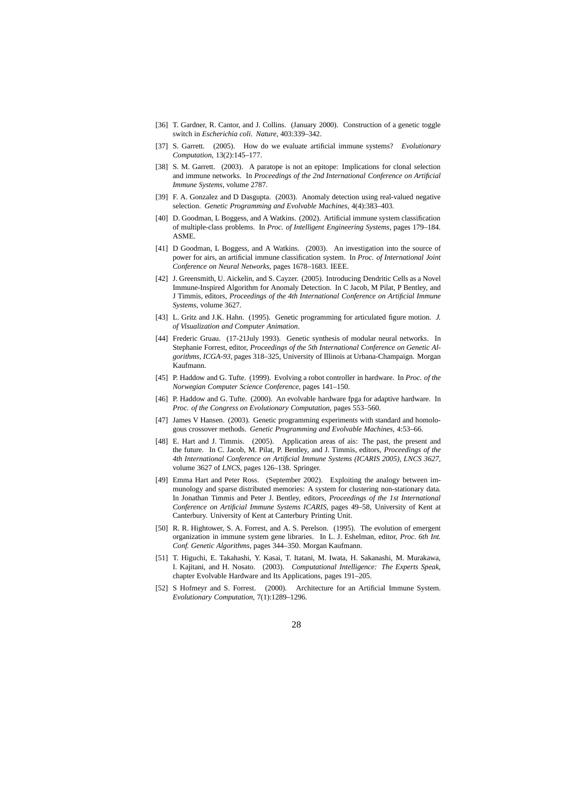- [36] T. Gardner, R. Cantor, and J. Collins. (January 2000). Construction of a genetic toggle switch in *Escherichia coli*. *Nature*, 403:339–342.
- [37] S. Garrett. (2005). How do we evaluate artificial immune systems? *Evolutionary Computation*, 13(2):145–177.
- [38] S. M. Garrett. (2003). A paratope is not an epitope: Implications for clonal selection and immune networks. In *Proceedings of the 2nd International Conference on Artificial Immune Systems*, volume 2787.
- [39] F. A. Gonzalez and D Dasgupta. (2003). Anomaly detection using real-valued negative selection. *Genetic Programming and Evolvable Machines*, 4(4):383–403.
- [40] D. Goodman, L Boggess, and A Watkins. (2002). Artificial immune system classification of multiple-class problems. In *Proc. of Intelligent Engineering Systems*, pages 179–184. ASME.
- [41] D Goodman, L Boggess, and A Watkins. (2003). An investigation into the source of power for airs, an artificial immune classification system. In *Proc. of International Joint Conference on Neural Networks*, pages 1678–1683. IEEE.
- [42] J. Greensmith, U. Aickelin, and S. Cayzer. (2005). Introducing Dendritic Cells as a Novel Immune-Inspired Algorithm for Anomaly Detection. In C Jacob, M Pilat, P Bentley, and J Timmis, editors, *Proceedings of the 4th International Conference on Artificial Immune Systems*, volume 3627.
- [43] L. Gritz and J.K. Hahn. (1995). Genetic programming for articulated figure motion. *J. of Visualization and Computer Animation*.
- [44] Frederic Gruau. (17-21July 1993). Genetic synthesis of modular neural networks. In Stephanie Forrest, editor, *Proceedings of the 5th International Conference on Genetic Algorithms, ICGA-93*, pages 318–325, University of Illinois at Urbana-Champaign. Morgan Kaufmann.
- [45] P. Haddow and G. Tufte. (1999). Evolving a robot controller in hardware. In *Proc. of the Norwegian Computer Science Conference*, pages 141–150.
- [46] P. Haddow and G. Tufte. (2000). An evolvable hardware fpga for adaptive hardware. In *Proc. of the Congress on Evolutionary Computation*, pages 553–560.
- [47] James V Hansen. (2003). Genetic programming experiments with standard and homologous crossover methods. *Genetic Programming and Evolvable Machines*, 4:53–66.
- [48] E. Hart and J. Timmis. (2005). Application areas of ais: The past, the present and the future. In C. Jacob, M. Pilat, P. Bentley, and J. Timmis, editors, *Proceedings of the 4th International Conference on Artificial Immune Systems (ICARIS 2005), LNCS 3627*, volume 3627 of *LNCS*, pages 126–138. Springer.
- [49] Emma Hart and Peter Ross. (September 2002). Exploiting the analogy between immunology and sparse distributed memories: A system for clustering non-stationary data. In Jonathan Timmis and Peter J. Bentley, editors, *Proceedings of the 1st International Conference on Artificial Immune Systems ICARIS*, pages 49–58, University of Kent at Canterbury. University of Kent at Canterbury Printing Unit.
- [50] R. R. Hightower, S. A. Forrest, and A. S. Perelson. (1995). The evolution of emergent organization in immune system gene libraries. In L. J. Eshelman, editor, *Proc. 6th Int. Conf. Genetic Algorithms*, pages 344–350. Morgan Kaufmann.
- [51] T. Higuchi, E. Takahashi, Y. Kasai, T. Itatani, M. Iwata, H. Sakanashi, M. Murakawa, I. Kajitani, and H. Nosato. (2003). *Computational Intelligence: The Experts Speak*, chapter Evolvable Hardware and Its Applications, pages 191–205.
- [52] S Hofmeyr and S. Forrest. (2000). Architecture for an Artificial Immune System. *Evolutionary Computation*, 7(1):1289–1296.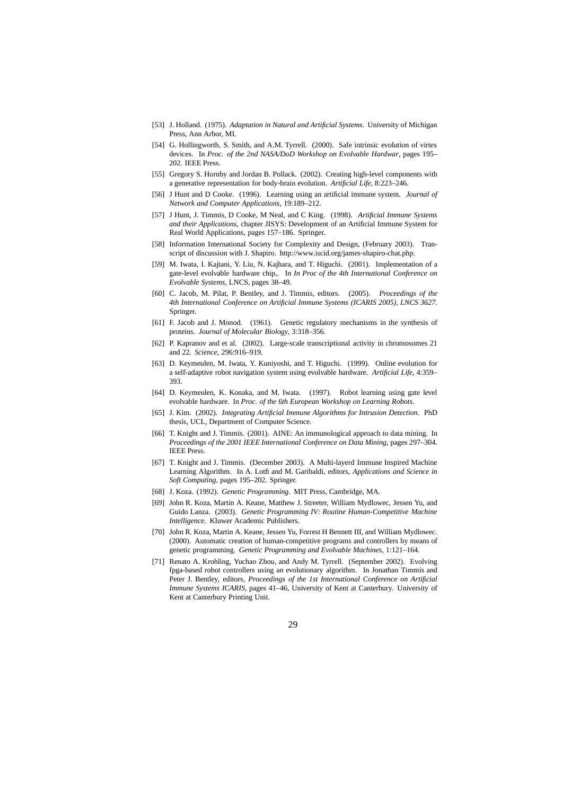- [53] J. Holland. (1975). *Adaptation in Natural and Artificial Systems*. University of Michigan Press, Ann Arbor, MI.
- [54] G. Hollingworth, S. Smith, and A.M. Tyrrell. (2000). Safe intrinsic evolution of virtex devices. In *Proc. of the 2nd NASA/DoD Workshop on Evolvable Hardwar*, pages 195– 202. IEEE Press.
- [55] Gregory S. Hornby and Jordan B. Pollack. (2002). Creating high-level components with a generative representation for body-brain evolution. *Artificial Life*, 8:223–246.
- [56] J Hunt and D Cooke. (1996). Learning using an artificial immune system. *Journal of Network and Computer Applications*, 19:189–212.
- [57] J Hunt, J. Timmis, D Cooke, M Neal, and C King. (1998). *Artificial Immune Systems and their Applications*, chapter JISYS: Development of an Artificial Immune System for Real World Applications, pages 157–186. Springer.
- [58] Information International Society for Complexity and Design, (February 2003). Transcript of discussion with J. Shapiro. http://www.iscid.org/james-shapiro-chat.php.
- [59] M. Iwata, I. Kajtani, Y. Liu, N. Kajhara, and T. Higuchi. (2001). Implementation of a gate-level evolvable hardware chip,. In *In Proc of the 4th International Conference on Evolvable Systems*, LNCS, pages 38–49.
- [60] C. Jacob, M. Pilat, P. Bentley, and J. Timmis, editors. (2005). *Proceedings of the 4th International Conference on Artificial Immune Systems (ICARIS 2005), LNCS 3627*. Springer.
- [61] F. Jacob and J. Monod. (1961). Genetic regulatory mechanisms in the synthesis of proteins. *Journal of Molecular Biology*, 3:318–356.
- [62] P. Kapranov and et al. (2002). Large-scale transcriptional activity in chromosomes 21 and 22. *Science*, 296:916–919.
- [63] D. Keymeulen, M. Iwata, Y. Kuniyoshi, and T. Higuchi. (1999). Online evolution for a self-adaptive robot navigation system using evolvable hardware. *Artificial Life*, 4:359– 393.
- [64] D. Keymeulen, K. Konaka, and M. Iwata. (1997). Robot learning using gate level evolvable hardware. In *Proc. of the 6th European Workshop on Learning Robots*.
- [65] J. Kim. (2002). *Integrating Artificial Immune Algorithms for Intrusion Detection*. PhD thesis, UCL, Department of Computer Science.
- [66] T. Knight and J. Timmis. (2001). AINE: An immunological approach to data mining. In *Proceedings of the 2001 IEEE International Conference on Data Mining*, pages 297–304. IEEE Press.
- [67] T. Knight and J. Timmis. (December 2003). A Multi-layerd Immune Inspired Machine Learning Algorithm. In A. Lotfi and M. Garibaldi, editors, *Applications and Science in Soft Computing*, pages 195–202. Springer.
- [68] J. Koza. (1992). *Genetic Programming*. MIT Press, Cambridge, MA.
- [69] John R. Koza, Martin A. Keane, Matthew J. Streeter, William Mydlowec, Jessen Yu, and Guido Lanza. (2003). *Genetic Programming IV: Routine Human-Competitive Machine Intelligence*. Kluwer Academic Publishers.
- [70] John R. Koza, Martin A. Keane, Jessen Yu, Forrest H Bennett III, and William Mydlowec. (2000). Automatic creation of human-competitive programs and controllers by means of genetic programming. *Genetic Programming and Evolvable Machines*, 1:121–164.
- [71] Renato A. Krohling, Yuchao Zhou, and Andy M. Tyrrell. (September 2002). Evolving fpga-based robot controllers using an evolutionary algorithm. In Jonathan Timmis and Peter J. Bentley, editors, *Proceedings of the 1st International Conference on Artificial Immune Systems ICARIS*, pages 41–46, University of Kent at Canterbury. University of Kent at Canterbury Printing Unit.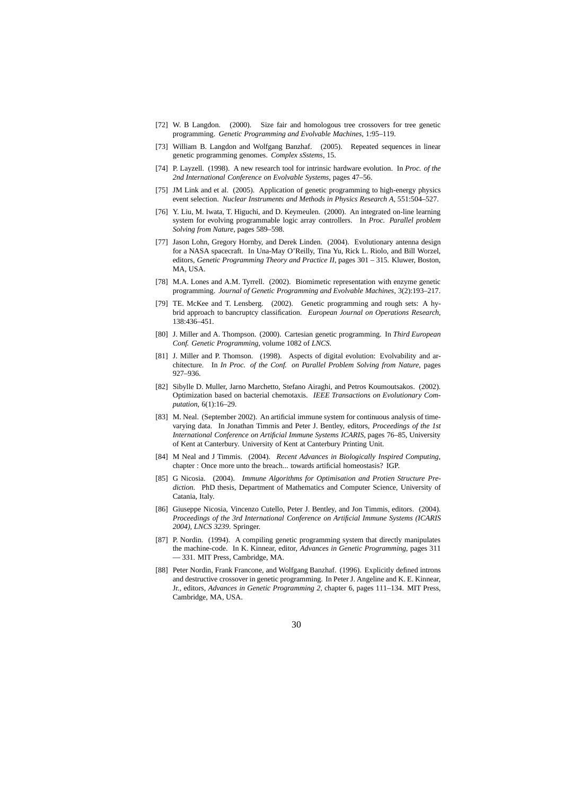- [72] W. B Langdon. (2000). Size fair and homologous tree crossovers for tree genetic programming. *Genetic Programming and Evolvable Machines*, 1:95–119.
- [73] William B. Langdon and Wolfgang Banzhaf. (2005). Repeated sequences in linear genetic programming genomes. *Complex sSstems*, 15.
- [74] P. Layzell. (1998). A new research tool for intrinsic hardware evolution. In *Proc. of the 2nd International Conference on Evolvable Systems*, pages 47–56.
- [75] JM Link and et al. (2005). Application of genetic programming to high-energy physics event selection. *Nuclear Instruments and Methods in Physics Research A*, 551:504–527.
- [76] Y. Liu, M. Iwata, T. Higuchi, and D. Keymeulen. (2000). An integrated on-line learning system for evolving programmable logic array controllers. In *Proc. Parallel problem Solving from Nature*, pages 589–598.
- [77] Jason Lohn, Gregory Hornby, and Derek Linden. (2004). Evolutionary antenna design for a NASA spacecraft. In Una-May O'Reilly, Tina Yu, Rick L. Riolo, and Bill Worzel, editors, *Genetic Programming Theory and Practice II*, pages 301 – 315. Kluwer, Boston, MA, USA.
- [78] M.A. Lones and A.M. Tyrrell. (2002). Biomimetic representation with enzyme genetic programming. *Journal of Genetic Programming and Evolvable Machines*, 3(2):193–217.
- [79] TE. McKee and T. Lensberg. (2002). Genetic programming and rough sets: A hybrid approach to bancruptcy classification. *European Journal on Operations Research*, 138:436–451.
- [80] J. Miller and A. Thompson. (2000). Cartesian genetic programming. In *Third European Conf. Genetic Programming*, volume 1082 of *LNCS*.
- [81] J. Miller and P. Thomson. (1998). Aspects of digital evolution: Evolvability and architecture. In *In Proc. of the Conf. on Parallel Problem Solving from Nature*, pages 927–936.
- [82] Sibylle D. Muller, Jarno Marchetto, Stefano Airaghi, and Petros Koumoutsakos. (2002). Optimization based on bacterial chemotaxis. *IEEE Transactions on Evolutionary Computation*, 6(1):16–29.
- [83] M. Neal. (September 2002). An artificial immune system for continuous analysis of timevarying data. In Jonathan Timmis and Peter J. Bentley, editors, *Proceedings of the 1st International Conference on Artificial Immune Systems ICARIS*, pages 76–85, University of Kent at Canterbury. University of Kent at Canterbury Printing Unit.
- [84] M Neal and J Timmis. (2004). *Recent Advances in Biologically Inspired Computing*, chapter : Once more unto the breach... towards artificial homeostasis? IGP.
- [85] G Nicosia. (2004). *Immune Algorithms for Optimisation and Protien Structure Prediction*. PhD thesis, Department of Mathematics and Computer Science, University of Catania, Italy.
- [86] Giuseppe Nicosia, Vincenzo Cutello, Peter J. Bentley, and Jon Timmis, editors. (2004). *Proceedings of the 3rd International Conference on Artificial Immune Systems (ICARIS 2004), LNCS 3239*. Springer.
- [87] P. Nordin. (1994). A compiling genetic programming system that directly manipulates the machine-code. In K. Kinnear, editor, *Advances in Genetic Programming*, pages 311 — 331. MIT Press, Cambridge, MA.
- [88] Peter Nordin, Frank Francone, and Wolfgang Banzhaf. (1996). Explicitly defined introns and destructive crossover in genetic programming. In Peter J. Angeline and K. E. Kinnear, Jr., editors, *Advances in Genetic Programming 2*, chapter 6, pages 111–134. MIT Press, Cambridge, MA, USA.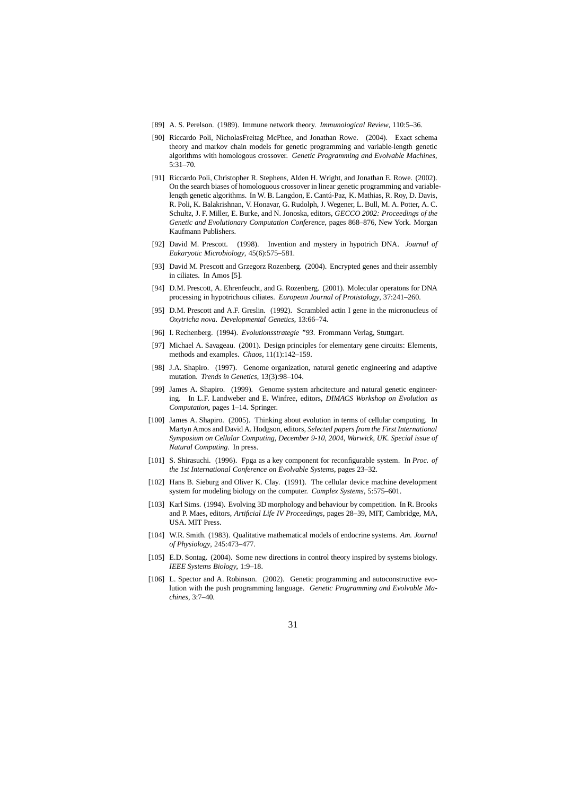- [89] A. S. Perelson. (1989). Immune network theory. *Immunological Review*, 110:5–36.
- [90] Riccardo Poli, NicholasFreitag McPhee, and Jonathan Rowe. (2004). Exact schema theory and markov chain models for genetic programming and variable-length genetic algorithms with homologous crossover. *Genetic Programming and Evolvable Machines*, 5:31–70.
- [91] Riccardo Poli, Christopher R. Stephens, Alden H. Wright, and Jonathan E. Rowe. (2002). On the search biases of homologuous crossover in linear genetic programming and variablelength genetic algorithms. In W. B. Langdon, E. Cantú-Paz, K. Mathias, R. Roy, D. Davis, R. Poli, K. Balakrishnan, V. Honavar, G. Rudolph, J. Wegener, L. Bull, M. A. Potter, A. C. Schultz, J. F. Miller, E. Burke, and N. Jonoska, editors, *GECCO 2002: Proceedings of the Genetic and Evolutionary Computation Conference*, pages 868–876, New York. Morgan Kaufmann Publishers.
- [92] David M. Prescott. (1998). Invention and mystery in hypotrich DNA. *Journal of Eukaryotic Microbiology*, 45(6):575–581.
- [93] David M. Prescott and Grzegorz Rozenberg. (2004). Encrypted genes and their assembly in ciliates. In Amos [5].
- [94] D.M. Prescott, A. Ehrenfeucht, and G. Rozenberg. (2001). Molecular operatons for DNA processing in hypotrichous ciliates. *European Journal of Protistology*, 37:241–260.
- [95] D.M. Prescott and A.F. Greslin. (1992). Scrambled actin I gene in the micronucleus of *Oxytricha nova*. *Developmental Genetics*, 13:66–74.
- [96] I. Rechenberg. (1994). *Evolutionsstrategie "93*. Frommann Verlag, Stuttgart.
- [97] Michael A. Savageau. (2001). Design principles for elementary gene circuits: Elements, methods and examples. *Chaos*, 11(1):142–159.
- [98] J.A. Shapiro. (1997). Genome organization, natural genetic engineering and adaptive mutation. *Trends in Genetics*, 13(3):98–104.
- [99] James A. Shapiro. (1999). Genome system arhcitecture and natural genetic engineering. In L.F. Landweber and E. Winfree, editors, *DIMACS Workshop on Evolution as Computation*, pages 1–14. Springer.
- [100] James A. Shapiro. (2005). Thinking about evolution in terms of cellular computing. In Martyn Amos and David A. Hodgson, editors, *Selected papers from the First International Symposium on Cellular Computing, December 9-10, 2004, Warwick, UK. Special issue of Natural Computing*. In press.
- [101] S. Shirasuchi. (1996). Fpga as a key component for reconfigurable system. In *Proc. of the 1st International Conference on Evolvable Systems*, pages 23–32.
- [102] Hans B. Sieburg and Oliver K. Clay. (1991). The cellular device machine development system for modeling biology on the computer. *Complex Systems*, 5:575–601.
- [103] Karl Sims. (1994). Evolving 3D morphology and behaviour by competition. In R. Brooks and P. Maes, editors, *Artificial Life IV Proceedings*, pages 28–39, MIT, Cambridge, MA, USA. MIT Press.
- [104] W.R. Smith. (1983). Qualitative mathematical models of endocrine systems. *Am. Journal of Physiology*, 245:473–477.
- [105] E.D. Sontag. (2004). Some new directions in control theory inspired by systems biology. *IEEE Systems Biology*, 1:9–18.
- [106] L. Spector and A. Robinson. (2002). Genetic programming and autoconstructive evolution with the push programming language. *Genetic Programming and Evolvable Machines*, 3:7–40.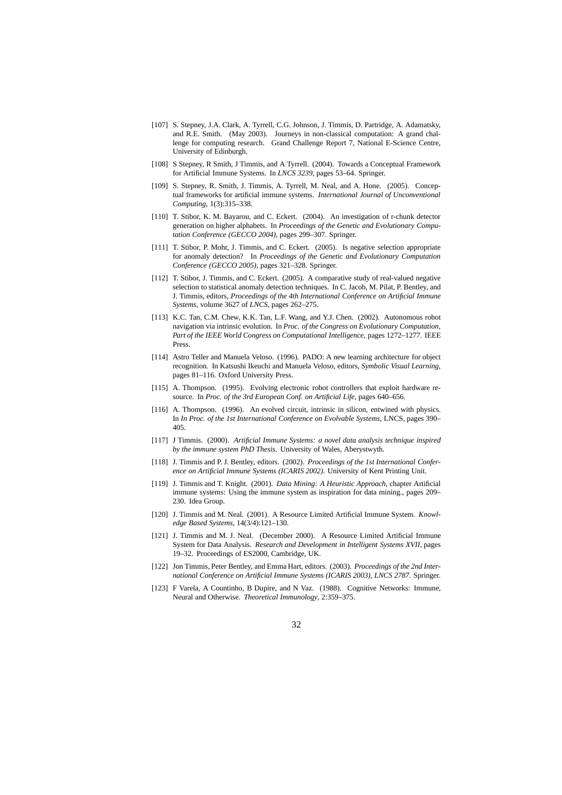- [107] S. Stepney, J.A. Clark, A. Tyrrell, C.G. Johnson, J. Timmis, D. Partridge, A. Adamatsky, and R.E. Smith. (May 2003). Journeys in non-classical computation: A grand challenge for computing research. Grand Challenge Report 7, National E-Science Centre, University of Edinburgh.
- [108] S Stepney, R Smith, J Timmis, and A Tyrrell. (2004). Towards a Conceptual Framework for Artificial Immune Systems. In *LNCS 3239*, pages 53–64. Springer.
- [109] S. Stepney, R. Smith, J. Timmis, A. Tyrrell, M. Neal, and A. Hone. (2005). Conceptual frameworks for artificial immune systems. *International Journal of Unconventional Computing*, 1(3):315–338.
- [110] T. Stibor, K. M. Bayarou, and C. Eckert. (2004). An investigation of r-chunk detector generation on higher alphabets. In *Proceedings of the Genetic and Evolutionary Computation Conference (GECCO 2004)*, pages 299–307. Springer.
- [111] T. Stibor, P. Mohr, J. Timmis, and C. Eckert. (2005). Is negative selection appropriate for anomaly detection? In *Proceedings of the Genetic and Evolutionary Computation Conference (GECCO 2005)*, pages 321–328. Springer.
- [112] T. Stibor, J. Timmis, and C. Eckert. (2005). A comparative study of real-valued negative selection to statistical anomaly detection techniques. In C. Jacob, M. Pilat, P. Bentley, and J. Timmis, editors, *Proceedings of the 4th International Conference on Artificial Immune Systems*, volume 3627 of *LNCS*, pages 262–275.
- [113] K.C. Tan, C.M. Chew, K.K. Tan, L.F. Wang, and Y.J. Chen. (2002). Autonomous robot navigation via intrinsic evolution. In *Proc. of the Congress on Evolutionary Computation, Part of the IEEE World Congress on Computational Intelligence*, pages 1272–1277. IEEE Press.
- [114] Astro Teller and Manuela Veloso. (1996). PADO: A new learning architecture for object recognition. In Katsushi Ikeuchi and Manuela Veloso, editors, *Symbolic Visual Learning*, pages 81–116. Oxford University Press.
- [115] A. Thompson. (1995). Evolving electronic robot controllers that exploit hardware resource. In *Proc. of the 3rd European Conf. on Artificial Life*, pages 640–656.
- [116] A. Thompson. (1996). An evolved circuit, intrinsic in silicon, entwined with physics. In *In Proc. of the 1st International Conference on Evolvable Systems*, LNCS, pages 390– 405.
- [117] J Timmis. (2000). *Artificial Immune Systems: a novel data analysis technique inspired by the immune system PhD Thesis*. University of Wales, Aberystwyth.
- [118] J. Timmis and P. J. Bentley, editors. (2002). *Proceedings of the 1st International Conference on Artificial Immune Systems (ICARIS 2002)*. University of Kent Printing Unit.
- [119] J. Timmis and T. Knight. (2001). *Data Mining: A Heuristic Approach*, chapter Artificial immune systems: Using the immune system as inspiration for data mining., pages 209– 230. Idea Group.
- [120] J. Timmis and M. Neal. (2001). A Resource Limited Artificial Immune System. *Knowledge Based Systems*, 14(3/4):121–130.
- [121] J. Timmis and M. J. Neal. (December 2000). A Resource Limited Artificial Immune System for Data Analysis. *Research and Development in Intelligent Systems XVII*, pages 19–32. Proceedings of ES2000, Cambridge, UK.
- [122] Jon Timmis, Peter Bentley, and Emma Hart, editors. (2003). *Proceedings of the 2nd International Conference on Artificial Immune Systems (ICARIS 2003), LNCS 2787*. Springer.
- [123] F Varela, A Countinho, B Dupire, and N Vaz. (1988). Cognitive Networks: Immune, Neural and Otherwise. *Theoretical Immunology*, 2:359–375.